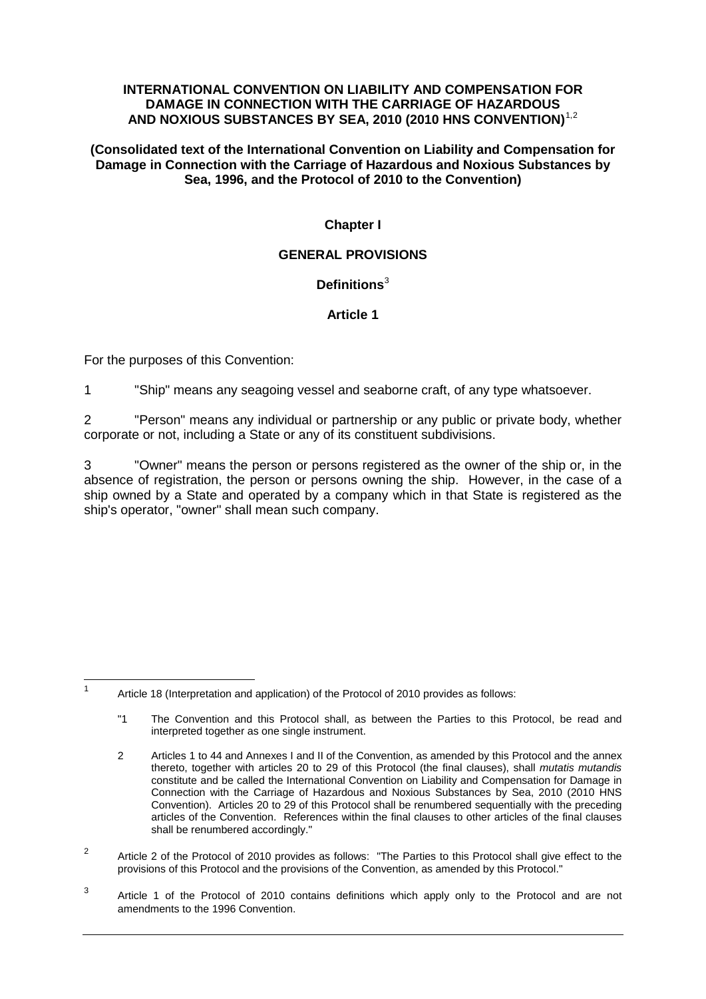#### **INTERNATIONAL CONVENTION ON LIABILITY AND COMPENSATION FOR DAMAGE IN CONNECTION WITH THE CARRIAGE OF HAZARDOUS AND NOXIOUS SUBSTANCES BY SEA, 2010 (2010 HNS CONVENTION)**1,2

#### **(Consolidated text of the International Convention on Liability and Compensation for Damage in Connection with the Carriage of Hazardous and Noxious Substances by Sea, 1996, and the Protocol of 2010 to the Convention)**

# **Chapter I**

## **GENERAL PROVISIONS**

# **Definitions** 3

# **Article 1**

For the purposes of this Convention:

1 "Ship" means any seagoing vessel and seaborne craft, of any type whatsoever.

2 "Person" means any individual or partnership or any public or private body, whether corporate or not, including a State or any of its constituent subdivisions.

3 "Owner" means the person or persons registered as the owner of the ship or, in the absence of registration, the person or persons owning the ship. However, in the case of a ship owned by a State and operated by a company which in that State is registered as the ship's operator, "owner" shall mean such company.

<sup>2</sup> Article 2 of the Protocol of 2010 provides as follows: "The Parties to this Protocol shall give effect to the provisions of this Protocol and the provisions of the Convention, as amended by this Protocol."

 <sup>1</sup> Article 18 (Interpretation and application) of the Protocol of 2010 provides as follows:

<sup>&</sup>quot;1 The Convention and this Protocol shall, as between the Parties to this Protocol, be read and interpreted together as one single instrument.

<sup>2</sup> Articles 1 to 44 and Annexes I and II of the Convention, as amended by this Protocol and the annex thereto, together with articles 20 to 29 of this Protocol (the final clauses), shall *mutatis mutandis* constitute and be called the International Convention on Liability and Compensation for Damage in Connection with the Carriage of Hazardous and Noxious Substances by Sea, 2010 (2010 HNS Convention). Articles 20 to 29 of this Protocol shall be renumbered sequentially with the preceding articles of the Convention. References within the final clauses to other articles of the final clauses shall be renumbered accordingly."

<sup>3</sup> Article 1 of the Protocol of 2010 contains definitions which apply only to the Protocol and are not amendments to the 1996 Convention.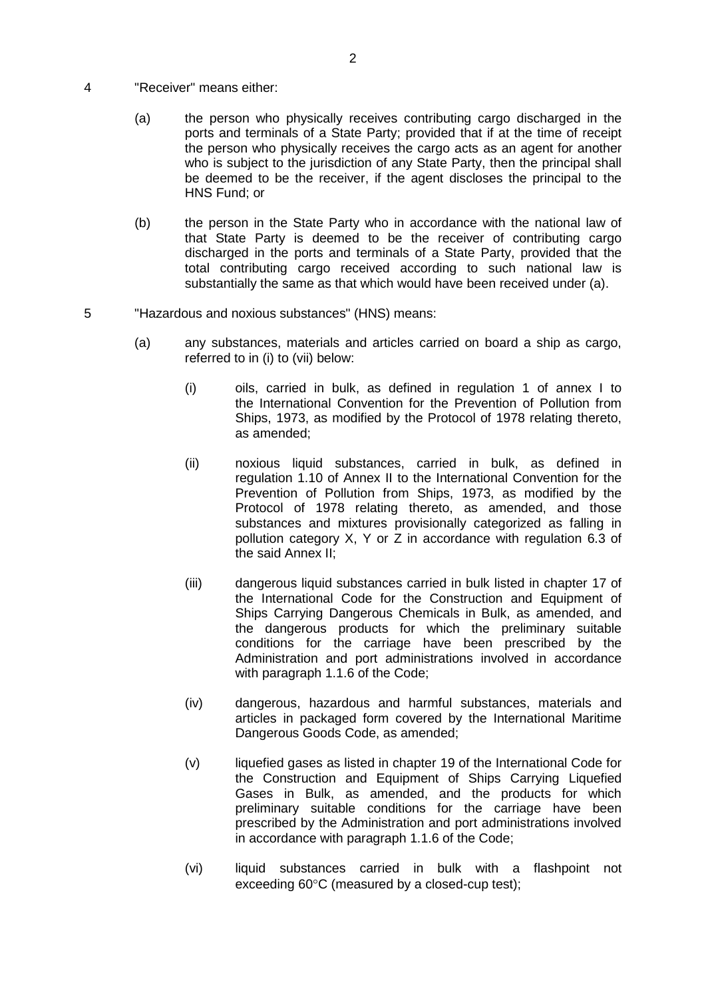- 4 "Receiver" means either:
	- (a) the person who physically receives contributing cargo discharged in the ports and terminals of a State Party; provided that if at the time of receipt the person who physically receives the cargo acts as an agent for another who is subject to the jurisdiction of any State Party, then the principal shall be deemed to be the receiver, if the agent discloses the principal to the HNS Fund; or
	- (b) the person in the State Party who in accordance with the national law of that State Party is deemed to be the receiver of contributing cargo discharged in the ports and terminals of a State Party, provided that the total contributing cargo received according to such national law is substantially the same as that which would have been received under (a).
- 5 "Hazardous and noxious substances" (HNS) means:
	- (a) any substances, materials and articles carried on board a ship as cargo, referred to in (i) to (vii) below:
		- (i) oils, carried in bulk, as defined in regulation 1 of annex I to the International Convention for the Prevention of Pollution from Ships, 1973, as modified by the Protocol of 1978 relating thereto, as amended;
		- (ii) noxious liquid substances, carried in bulk, as defined in regulation 1.10 of Annex II to the International Convention for the Prevention of Pollution from Ships, 1973, as modified by the Protocol of 1978 relating thereto, as amended, and those substances and mixtures provisionally categorized as falling in pollution category X, Y or Z in accordance with regulation 6.3 of the said Annex II;
		- (iii) dangerous liquid substances carried in bulk listed in chapter 17 of the International Code for the Construction and Equipment of Ships Carrying Dangerous Chemicals in Bulk, as amended, and the dangerous products for which the preliminary suitable conditions for the carriage have been prescribed by the Administration and port administrations involved in accordance with paragraph 1.1.6 of the Code;
		- (iv) dangerous, hazardous and harmful substances, materials and articles in packaged form covered by the International Maritime Dangerous Goods Code, as amended;
		- (v) liquefied gases as listed in chapter 19 of the International Code for the Construction and Equipment of Ships Carrying Liquefied Gases in Bulk, as amended, and the products for which preliminary suitable conditions for the carriage have been prescribed by the Administration and port administrations involved in accordance with paragraph 1.1.6 of the Code;
		- (vi) liquid substances carried in bulk with a flashpoint not exceeding 60°C (measured by a closed-cup test);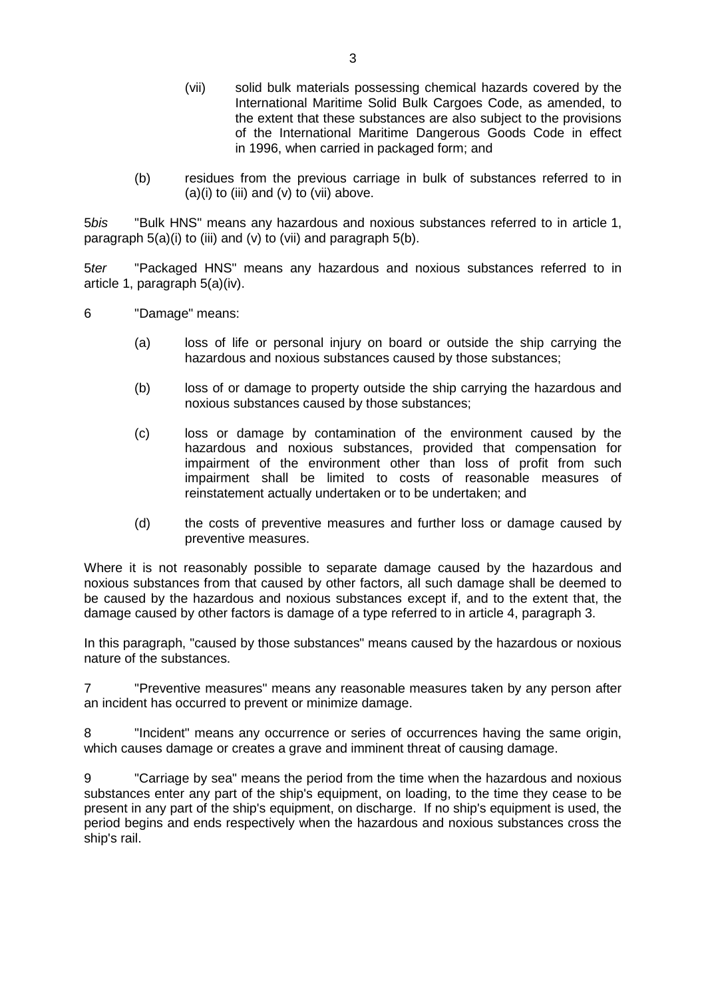- (vii) solid bulk materials possessing chemical hazards covered by the International Maritime Solid Bulk Cargoes Code, as amended, to the extent that these substances are also subject to the provisions of the International Maritime Dangerous Goods Code in effect in 1996, when carried in packaged form; and
- (b) residues from the previous carriage in bulk of substances referred to in  $(a)(i)$  to (iii) and  $(v)$  to (vii) above.

5*bis* "Bulk HNS" means any hazardous and noxious substances referred to in article 1, paragraph  $5(a)(i)$  to (iii) and (v) to (vii) and paragraph  $5(b)$ .

5*ter* "Packaged HNS" means any hazardous and noxious substances referred to in article 1, paragraph 5(a)(iv).

- 6 "Damage" means:
	- (a) loss of life or personal injury on board or outside the ship carrying the hazardous and noxious substances caused by those substances;
	- (b) loss of or damage to property outside the ship carrying the hazardous and noxious substances caused by those substances;
	- (c) loss or damage by contamination of the environment caused by the hazardous and noxious substances, provided that compensation for impairment of the environment other than loss of profit from such impairment shall be limited to costs of reasonable measures of reinstatement actually undertaken or to be undertaken; and
	- (d) the costs of preventive measures and further loss or damage caused by preventive measures.

Where it is not reasonably possible to separate damage caused by the hazardous and noxious substances from that caused by other factors, all such damage shall be deemed to be caused by the hazardous and noxious substances except if, and to the extent that, the damage caused by other factors is damage of a type referred to in article 4, paragraph 3.

In this paragraph, "caused by those substances" means caused by the hazardous or noxious nature of the substances.

7 "Preventive measures" means any reasonable measures taken by any person after an incident has occurred to prevent or minimize damage.

8 "Incident" means any occurrence or series of occurrences having the same origin, which causes damage or creates a grave and imminent threat of causing damage.

9 "Carriage by sea" means the period from the time when the hazardous and noxious substances enter any part of the ship's equipment, on loading, to the time they cease to be present in any part of the ship's equipment, on discharge. If no ship's equipment is used, the period begins and ends respectively when the hazardous and noxious substances cross the ship's rail.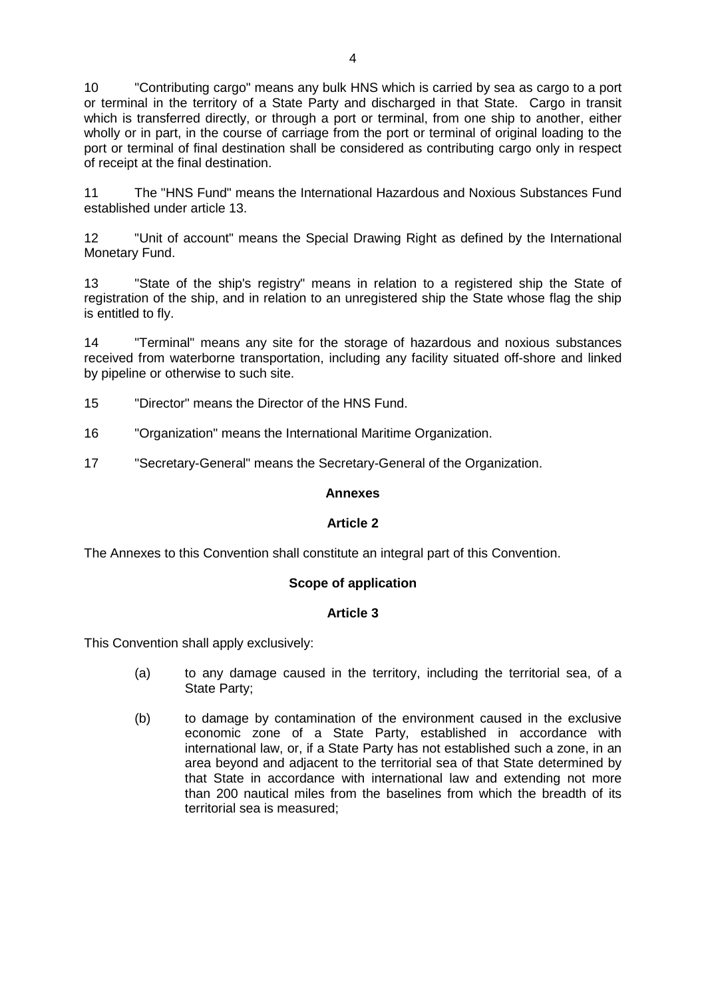10 "Contributing cargo" means any bulk HNS which is carried by sea as cargo to a port or terminal in the territory of a State Party and discharged in that State. Cargo in transit which is transferred directly, or through a port or terminal, from one ship to another, either wholly or in part, in the course of carriage from the port or terminal of original loading to the port or terminal of final destination shall be considered as contributing cargo only in respect of receipt at the final destination.

11 The "HNS Fund" means the International Hazardous and Noxious Substances Fund established under article 13.

12 "Unit of account" means the Special Drawing Right as defined by the International Monetary Fund.

13 "State of the ship's registry" means in relation to a registered ship the State of registration of the ship, and in relation to an unregistered ship the State whose flag the ship is entitled to fly.

14 "Terminal" means any site for the storage of hazardous and noxious substances received from waterborne transportation, including any facility situated off-shore and linked by pipeline or otherwise to such site.

15 "Director" means the Director of the HNS Fund.

16 "Organization" means the International Maritime Organization.

17 "Secretary-General" means the Secretary-General of the Organization.

### **Annexes**

### **Article 2**

The Annexes to this Convention shall constitute an integral part of this Convention.

### **Scope of application**

### **Article 3**

This Convention shall apply exclusively:

- (a) to any damage caused in the territory, including the territorial sea, of a State Party;
- (b) to damage by contamination of the environment caused in the exclusive economic zone of a State Party, established in accordance with international law, or, if a State Party has not established such a zone, in an area beyond and adjacent to the territorial sea of that State determined by that State in accordance with international law and extending not more than 200 nautical miles from the baselines from which the breadth of its territorial sea is measured;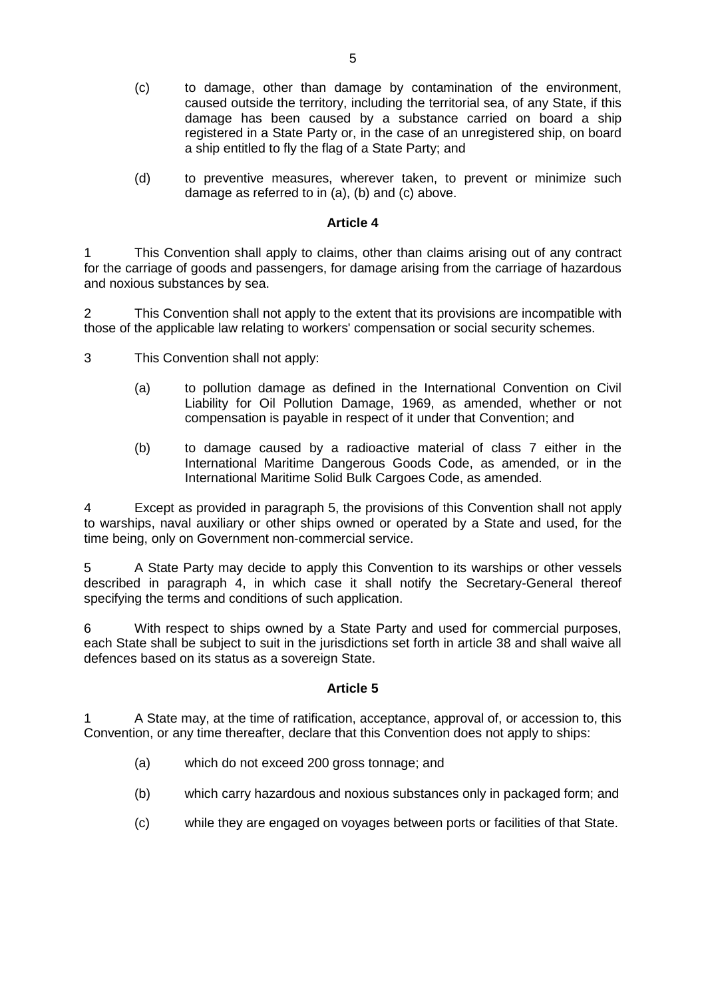- (c) to damage, other than damage by contamination of the environment, caused outside the territory, including the territorial sea, of any State, if this damage has been caused by a substance carried on board a ship registered in a State Party or, in the case of an unregistered ship, on board a ship entitled to fly the flag of a State Party; and
- (d) to preventive measures, wherever taken, to prevent or minimize such damage as referred to in (a), (b) and (c) above.

1 This Convention shall apply to claims, other than claims arising out of any contract for the carriage of goods and passengers, for damage arising from the carriage of hazardous and noxious substances by sea.

2 This Convention shall not apply to the extent that its provisions are incompatible with those of the applicable law relating to workers' compensation or social security schemes.

- 3 This Convention shall not apply:
	- (a) to pollution damage as defined in the International Convention on Civil Liability for Oil Pollution Damage, 1969, as amended, whether or not compensation is payable in respect of it under that Convention; and
	- (b) to damage caused by a radioactive material of class 7 either in the International Maritime Dangerous Goods Code, as amended, or in the International Maritime Solid Bulk Cargoes Code, as amended.

4 Except as provided in paragraph 5, the provisions of this Convention shall not apply to warships, naval auxiliary or other ships owned or operated by a State and used, for the time being, only on Government non-commercial service.

5 A State Party may decide to apply this Convention to its warships or other vessels described in paragraph 4, in which case it shall notify the Secretary-General thereof specifying the terms and conditions of such application.

6 With respect to ships owned by a State Party and used for commercial purposes, each State shall be subject to suit in the jurisdictions set forth in article 38 and shall waive all defences based on its status as a sovereign State.

### **Article 5**

1 A State may, at the time of ratification, acceptance, approval of, or accession to, this Convention, or any time thereafter, declare that this Convention does not apply to ships:

- (a) which do not exceed 200 gross tonnage; and
- (b) which carry hazardous and noxious substances only in packaged form; and
- (c) while they are engaged on voyages between ports or facilities of that State.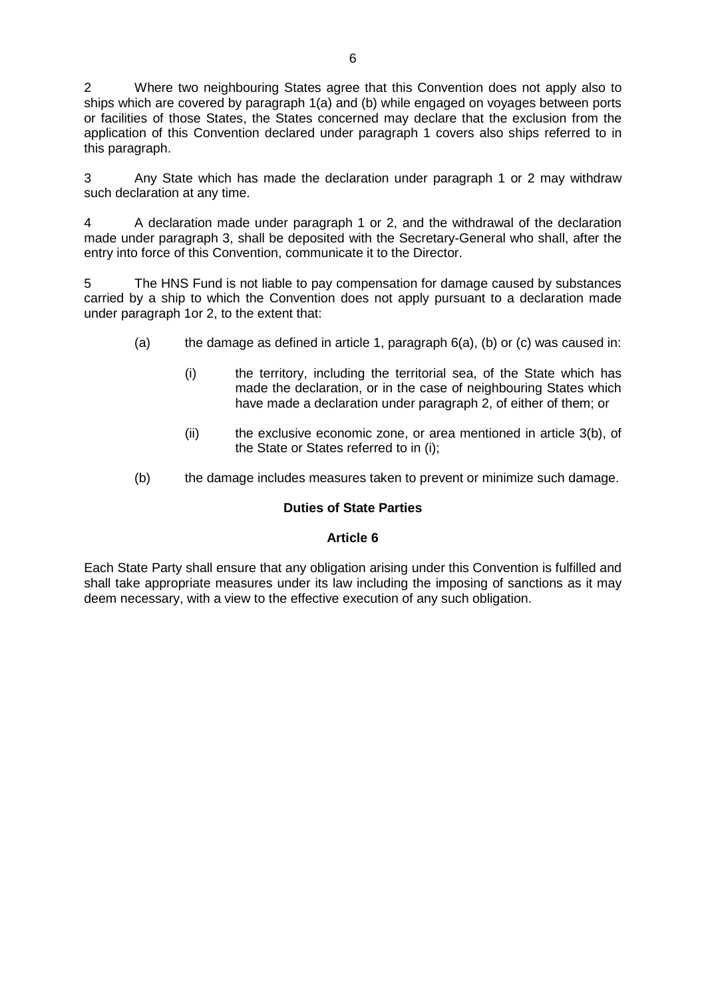2 Where two neighbouring States agree that this Convention does not apply also to ships which are covered by paragraph 1(a) and (b) while engaged on voyages between ports or facilities of those States, the States concerned may declare that the exclusion from the application of this Convention declared under paragraph 1 covers also ships referred to in this paragraph.

3 Any State which has made the declaration under paragraph 1 or 2 may withdraw such declaration at any time.

4 A declaration made under paragraph 1 or 2, and the withdrawal of the declaration made under paragraph 3, shall be deposited with the Secretary-General who shall, after the entry into force of this Convention, communicate it to the Director.

5 The HNS Fund is not liable to pay compensation for damage caused by substances carried by a ship to which the Convention does not apply pursuant to a declaration made under paragraph 1or 2, to the extent that:

- (a) the damage as defined in article 1, paragraph  $6(a)$ , (b) or (c) was caused in:
	- (i) the territory, including the territorial sea, of the State which has made the declaration, or in the case of neighbouring States which have made a declaration under paragraph 2, of either of them; or
	- (ii) the exclusive economic zone, or area mentioned in article 3(b), of the State or States referred to in (i);
- (b) the damage includes measures taken to prevent or minimize such damage.

### **Duties of State Parties**

### **Article 6**

Each State Party shall ensure that any obligation arising under this Convention is fulfilled and shall take appropriate measures under its law including the imposing of sanctions as it may deem necessary, with a view to the effective execution of any such obligation.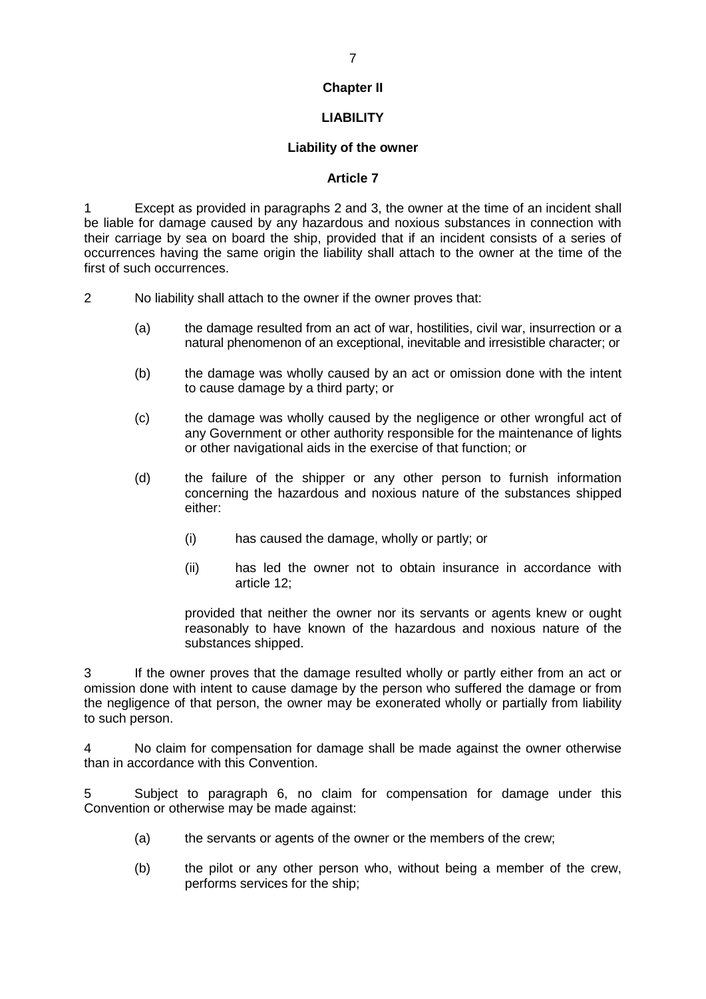## **Chapter II**

# **LIABILITY**

### **Liability of the owner**

#### **Article 7**

1 Except as provided in paragraphs 2 and 3, the owner at the time of an incident shall be liable for damage caused by any hazardous and noxious substances in connection with their carriage by sea on board the ship, provided that if an incident consists of a series of occurrences having the same origin the liability shall attach to the owner at the time of the first of such occurrences.

2 No liability shall attach to the owner if the owner proves that:

- (a) the damage resulted from an act of war, hostilities, civil war, insurrection or a natural phenomenon of an exceptional, inevitable and irresistible character; or
- (b) the damage was wholly caused by an act or omission done with the intent to cause damage by a third party; or
- (c) the damage was wholly caused by the negligence or other wrongful act of any Government or other authority responsible for the maintenance of lights or other navigational aids in the exercise of that function; or
- (d) the failure of the shipper or any other person to furnish information concerning the hazardous and noxious nature of the substances shipped either:
	- (i) has caused the damage, wholly or partly; or
	- (ii) has led the owner not to obtain insurance in accordance with article 12;

provided that neither the owner nor its servants or agents knew or ought reasonably to have known of the hazardous and noxious nature of the substances shipped.

3 If the owner proves that the damage resulted wholly or partly either from an act or omission done with intent to cause damage by the person who suffered the damage or from the negligence of that person, the owner may be exonerated wholly or partially from liability to such person.

4 No claim for compensation for damage shall be made against the owner otherwise than in accordance with this Convention.

5 Subject to paragraph 6, no claim for compensation for damage under this Convention or otherwise may be made against:

- (a) the servants or agents of the owner or the members of the crew;
- (b) the pilot or any other person who, without being a member of the crew, performs services for the ship;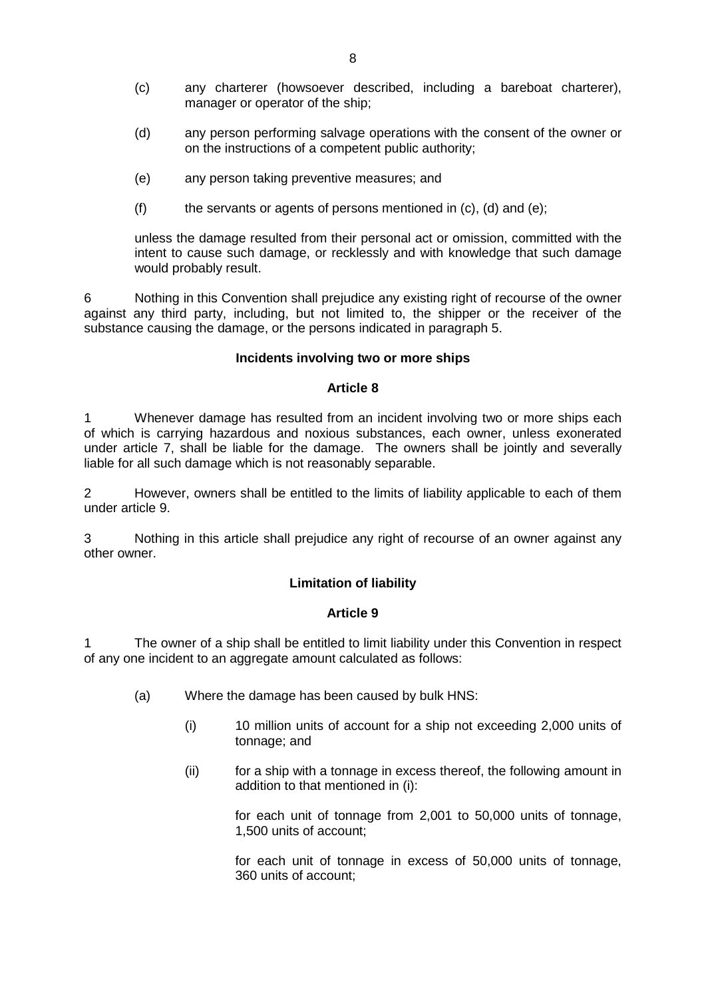- (c) any charterer (howsoever described, including a bareboat charterer), manager or operator of the ship;
- (d) any person performing salvage operations with the consent of the owner or on the instructions of a competent public authority;
- (e) any person taking preventive measures; and
- $(f)$  the servants or agents of persons mentioned in  $(c)$ ,  $(d)$  and  $(e)$ ;

unless the damage resulted from their personal act or omission, committed with the intent to cause such damage, or recklessly and with knowledge that such damage would probably result.

6 Nothing in this Convention shall prejudice any existing right of recourse of the owner against any third party, including, but not limited to, the shipper or the receiver of the substance causing the damage, or the persons indicated in paragraph 5.

#### **Incidents involving two or more ships**

#### **Article 8**

1 Whenever damage has resulted from an incident involving two or more ships each of which is carrying hazardous and noxious substances, each owner, unless exonerated under article 7, shall be liable for the damage. The owners shall be jointly and severally liable for all such damage which is not reasonably separable.

2 However, owners shall be entitled to the limits of liability applicable to each of them under article 9.

3 Nothing in this article shall prejudice any right of recourse of an owner against any other owner.

### **Limitation of liability**

#### **Article 9**

The owner of a ship shall be entitled to limit liability under this Convention in respect of any one incident to an aggregate amount calculated as follows:

- (a) Where the damage has been caused by bulk HNS:
	- (i) 10 million units of account for a ship not exceeding 2,000 units of tonnage; and
	- (ii) for a ship with a tonnage in excess thereof, the following amount in addition to that mentioned in (i):

for each unit of tonnage from 2,001 to 50,000 units of tonnage, 1,500 units of account;

for each unit of tonnage in excess of 50,000 units of tonnage, 360 units of account;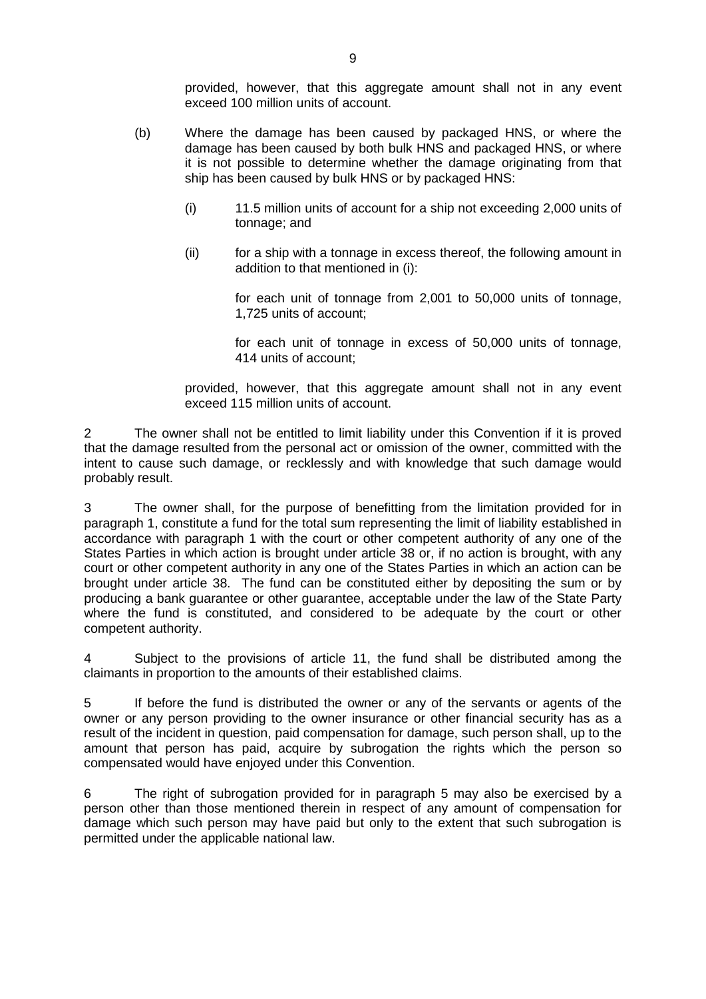provided, however, that this aggregate amount shall not in any event exceed 100 million units of account.

- (b) Where the damage has been caused by packaged HNS, or where the damage has been caused by both bulk HNS and packaged HNS, or where it is not possible to determine whether the damage originating from that ship has been caused by bulk HNS or by packaged HNS:
	- (i) 11.5 million units of account for a ship not exceeding 2,000 units of tonnage; and
	- (ii) for a ship with a tonnage in excess thereof, the following amount in addition to that mentioned in (i):

for each unit of tonnage from 2,001 to 50,000 units of tonnage, 1,725 units of account;

for each unit of tonnage in excess of 50,000 units of tonnage, 414 units of account;

provided, however, that this aggregate amount shall not in any event exceed 115 million units of account.

2 The owner shall not be entitled to limit liability under this Convention if it is proved that the damage resulted from the personal act or omission of the owner, committed with the intent to cause such damage, or recklessly and with knowledge that such damage would probably result.

3 The owner shall, for the purpose of benefitting from the limitation provided for in paragraph 1, constitute a fund for the total sum representing the limit of liability established in accordance with paragraph 1 with the court or other competent authority of any one of the States Parties in which action is brought under article 38 or, if no action is brought, with any court or other competent authority in any one of the States Parties in which an action can be brought under article 38. The fund can be constituted either by depositing the sum or by producing a bank guarantee or other guarantee, acceptable under the law of the State Party where the fund is constituted, and considered to be adequate by the court or other competent authority.

4 Subject to the provisions of article 11, the fund shall be distributed among the claimants in proportion to the amounts of their established claims.

5 If before the fund is distributed the owner or any of the servants or agents of the owner or any person providing to the owner insurance or other financial security has as a result of the incident in question, paid compensation for damage, such person shall, up to the amount that person has paid, acquire by subrogation the rights which the person so compensated would have enjoyed under this Convention.

6 The right of subrogation provided for in paragraph 5 may also be exercised by a person other than those mentioned therein in respect of any amount of compensation for damage which such person may have paid but only to the extent that such subrogation is permitted under the applicable national law.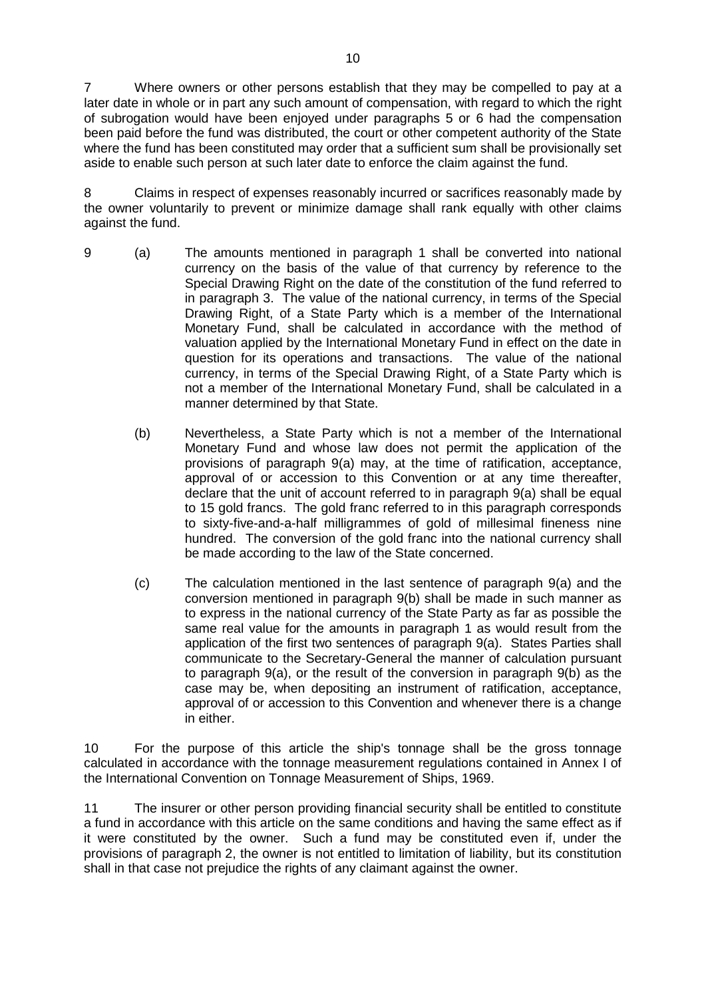7 Where owners or other persons establish that they may be compelled to pay at a later date in whole or in part any such amount of compensation, with regard to which the right of subrogation would have been enjoyed under paragraphs 5 or 6 had the compensation been paid before the fund was distributed, the court or other competent authority of the State where the fund has been constituted may order that a sufficient sum shall be provisionally set aside to enable such person at such later date to enforce the claim against the fund.

8 Claims in respect of expenses reasonably incurred or sacrifices reasonably made by the owner voluntarily to prevent or minimize damage shall rank equally with other claims against the fund.

- 9 (a) The amounts mentioned in paragraph 1 shall be converted into national currency on the basis of the value of that currency by reference to the Special Drawing Right on the date of the constitution of the fund referred to in paragraph 3. The value of the national currency, in terms of the Special Drawing Right, of a State Party which is a member of the International Monetary Fund, shall be calculated in accordance with the method of valuation applied by the International Monetary Fund in effect on the date in question for its operations and transactions. The value of the national currency, in terms of the Special Drawing Right, of a State Party which is not a member of the International Monetary Fund, shall be calculated in a manner determined by that State.
	- (b) Nevertheless, a State Party which is not a member of the International Monetary Fund and whose law does not permit the application of the provisions of paragraph 9(a) may, at the time of ratification, acceptance, approval of or accession to this Convention or at any time thereafter, declare that the unit of account referred to in paragraph 9(a) shall be equal to 15 gold francs. The gold franc referred to in this paragraph corresponds to sixty-five-and-a-half milligrammes of gold of millesimal fineness nine hundred. The conversion of the gold franc into the national currency shall be made according to the law of the State concerned.
	- (c) The calculation mentioned in the last sentence of paragraph 9(a) and the conversion mentioned in paragraph 9(b) shall be made in such manner as to express in the national currency of the State Party as far as possible the same real value for the amounts in paragraph 1 as would result from the application of the first two sentences of paragraph 9(a). States Parties shall communicate to the Secretary-General the manner of calculation pursuant to paragraph 9(a), or the result of the conversion in paragraph 9(b) as the case may be, when depositing an instrument of ratification, acceptance, approval of or accession to this Convention and whenever there is a change in either.

10 For the purpose of this article the ship's tonnage shall be the gross tonnage calculated in accordance with the tonnage measurement regulations contained in Annex I of the International Convention on Tonnage Measurement of Ships, 1969.

11 The insurer or other person providing financial security shall be entitled to constitute a fund in accordance with this article on the same conditions and having the same effect as if it were constituted by the owner. Such a fund may be constituted even if, under the provisions of paragraph 2, the owner is not entitled to limitation of liability, but its constitution shall in that case not prejudice the rights of any claimant against the owner.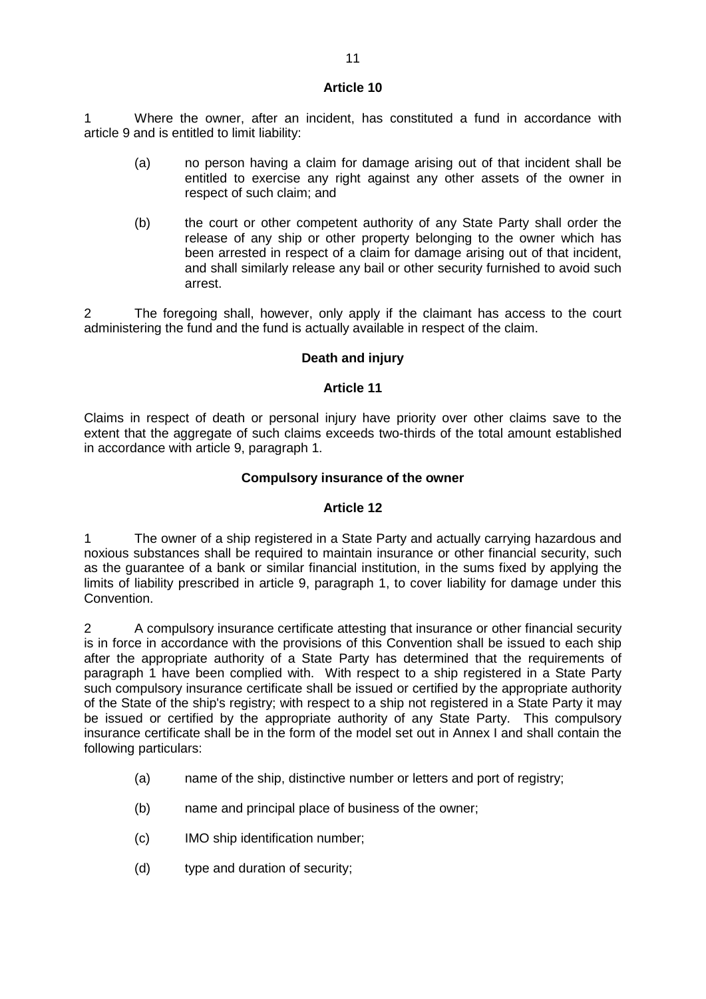1 Where the owner, after an incident, has constituted a fund in accordance with article 9 and is entitled to limit liability:

- (a) no person having a claim for damage arising out of that incident shall be entitled to exercise any right against any other assets of the owner in respect of such claim; and
- (b) the court or other competent authority of any State Party shall order the release of any ship or other property belonging to the owner which has been arrested in respect of a claim for damage arising out of that incident, and shall similarly release any bail or other security furnished to avoid such arrest.

2 The foregoing shall, however, only apply if the claimant has access to the court administering the fund and the fund is actually available in respect of the claim.

# **Death and injury**

### **Article 11**

Claims in respect of death or personal injury have priority over other claims save to the extent that the aggregate of such claims exceeds two-thirds of the total amount established in accordance with article 9, paragraph 1.

### **Compulsory insurance of the owner**

### **Article 12**

1 The owner of a ship registered in a State Party and actually carrying hazardous and noxious substances shall be required to maintain insurance or other financial security, such as the guarantee of a bank or similar financial institution, in the sums fixed by applying the limits of liability prescribed in article 9, paragraph 1, to cover liability for damage under this Convention.

2 A compulsory insurance certificate attesting that insurance or other financial security is in force in accordance with the provisions of this Convention shall be issued to each ship after the appropriate authority of a State Party has determined that the requirements of paragraph 1 have been complied with. With respect to a ship registered in a State Party such compulsory insurance certificate shall be issued or certified by the appropriate authority of the State of the ship's registry; with respect to a ship not registered in a State Party it may be issued or certified by the appropriate authority of any State Party. This compulsory insurance certificate shall be in the form of the model set out in Annex I and shall contain the following particulars:

- (a) name of the ship, distinctive number or letters and port of registry;
- (b) name and principal place of business of the owner;
- (c) IMO ship identification number;
- (d) type and duration of security;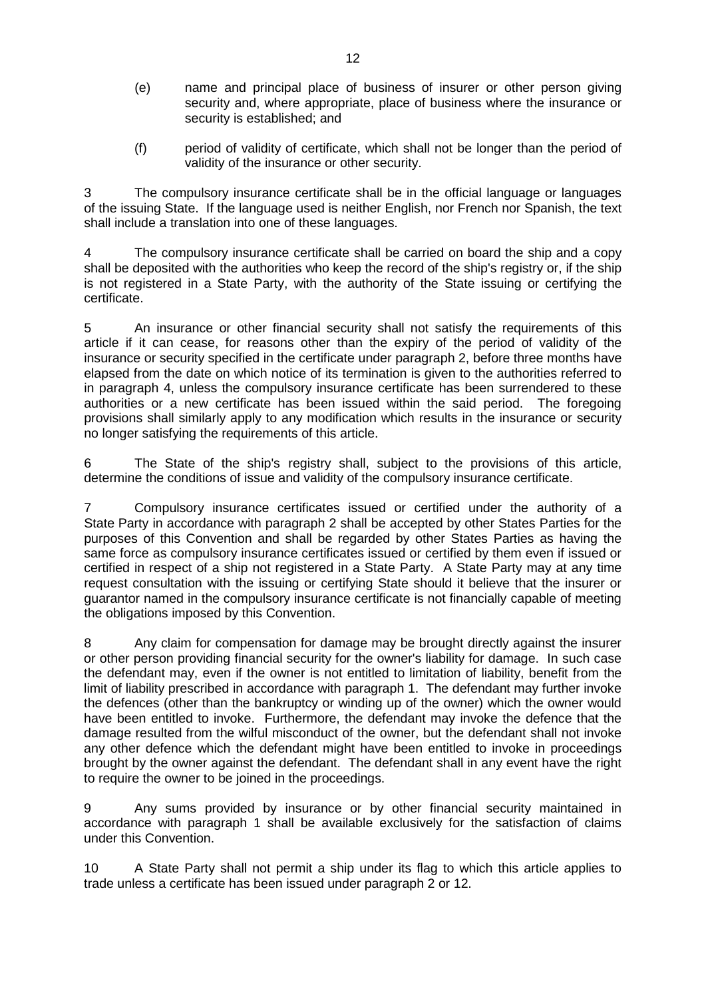- (e) name and principal place of business of insurer or other person giving security and, where appropriate, place of business where the insurance or security is established; and
- (f) period of validity of certificate, which shall not be longer than the period of validity of the insurance or other security.

3 The compulsory insurance certificate shall be in the official language or languages of the issuing State. If the language used is neither English, nor French nor Spanish, the text shall include a translation into one of these languages.

4 The compulsory insurance certificate shall be carried on board the ship and a copy shall be deposited with the authorities who keep the record of the ship's registry or, if the ship is not registered in a State Party, with the authority of the State issuing or certifying the certificate.

5 An insurance or other financial security shall not satisfy the requirements of this article if it can cease, for reasons other than the expiry of the period of validity of the insurance or security specified in the certificate under paragraph 2, before three months have elapsed from the date on which notice of its termination is given to the authorities referred to in paragraph 4, unless the compulsory insurance certificate has been surrendered to these authorities or a new certificate has been issued within the said period. The foregoing provisions shall similarly apply to any modification which results in the insurance or security no longer satisfying the requirements of this article.

6 The State of the ship's registry shall, subject to the provisions of this article, determine the conditions of issue and validity of the compulsory insurance certificate.

7 Compulsory insurance certificates issued or certified under the authority of a State Party in accordance with paragraph 2 shall be accepted by other States Parties for the purposes of this Convention and shall be regarded by other States Parties as having the same force as compulsory insurance certificates issued or certified by them even if issued or certified in respect of a ship not registered in a State Party. A State Party may at any time request consultation with the issuing or certifying State should it believe that the insurer or guarantor named in the compulsory insurance certificate is not financially capable of meeting the obligations imposed by this Convention.

8 Any claim for compensation for damage may be brought directly against the insurer or other person providing financial security for the owner's liability for damage. In such case the defendant may, even if the owner is not entitled to limitation of liability, benefit from the limit of liability prescribed in accordance with paragraph 1. The defendant may further invoke the defences (other than the bankruptcy or winding up of the owner) which the owner would have been entitled to invoke. Furthermore, the defendant may invoke the defence that the damage resulted from the wilful misconduct of the owner, but the defendant shall not invoke any other defence which the defendant might have been entitled to invoke in proceedings brought by the owner against the defendant. The defendant shall in any event have the right to require the owner to be joined in the proceedings.

9 Any sums provided by insurance or by other financial security maintained in accordance with paragraph 1 shall be available exclusively for the satisfaction of claims under this Convention.

10 A State Party shall not permit a ship under its flag to which this article applies to trade unless a certificate has been issued under paragraph 2 or 12.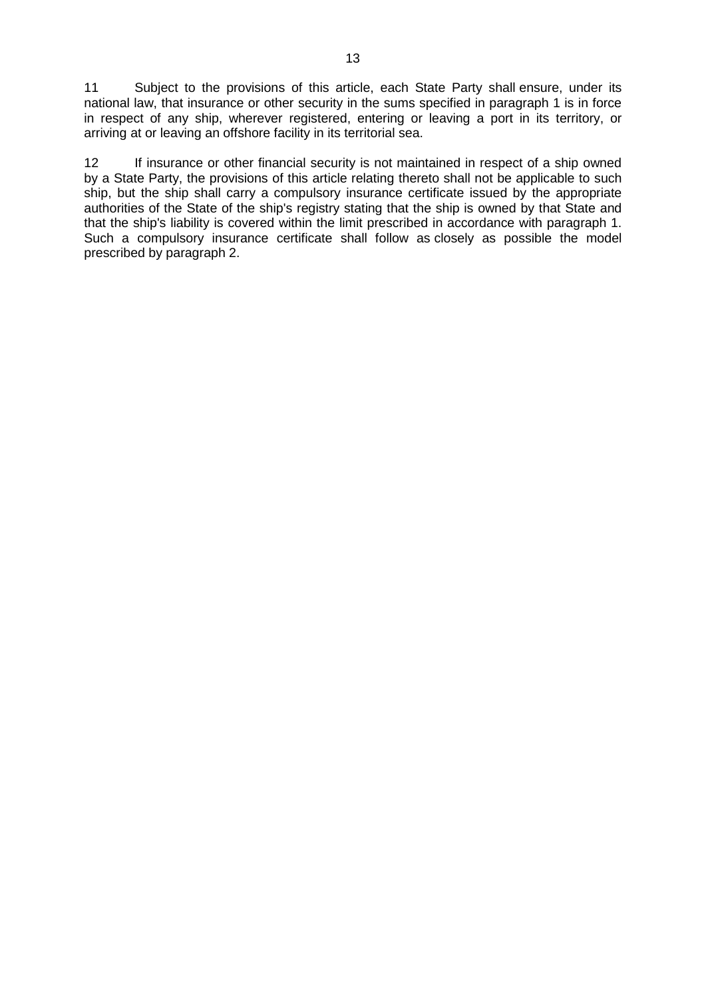11 Subject to the provisions of this article, each State Party shall ensure, under its national law, that insurance or other security in the sums specified in paragraph 1 is in force in respect of any ship, wherever registered, entering or leaving a port in its territory, or arriving at or leaving an offshore facility in its territorial sea.

12 If insurance or other financial security is not maintained in respect of a ship owned by a State Party, the provisions of this article relating thereto shall not be applicable to such ship, but the ship shall carry a compulsory insurance certificate issued by the appropriate authorities of the State of the ship's registry stating that the ship is owned by that State and that the ship's liability is covered within the limit prescribed in accordance with paragraph 1. Such a compulsory insurance certificate shall follow as closely as possible the model prescribed by paragraph 2.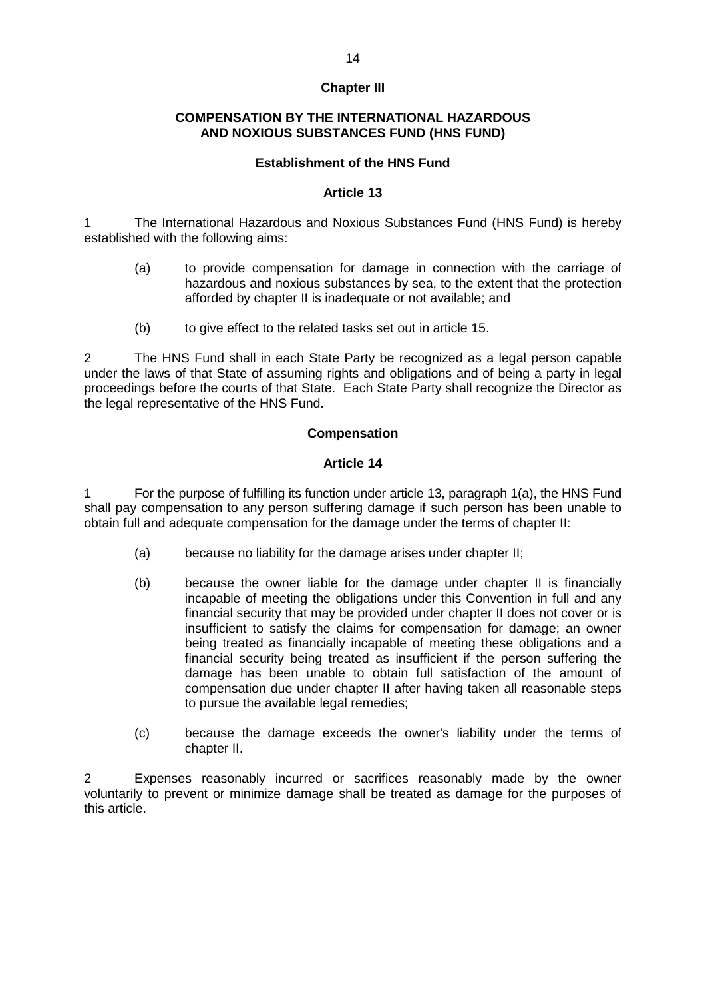## **Chapter III**

#### **COMPENSATION BY THE INTERNATIONAL HAZARDOUS AND NOXIOUS SUBSTANCES FUND (HNS FUND)**

#### **Establishment of the HNS Fund**

#### **Article 13**

1 The International Hazardous and Noxious Substances Fund (HNS Fund) is hereby established with the following aims:

- (a) to provide compensation for damage in connection with the carriage of hazardous and noxious substances by sea, to the extent that the protection afforded by chapter II is inadequate or not available; and
- (b) to give effect to the related tasks set out in article 15.

2 The HNS Fund shall in each State Party be recognized as a legal person capable under the laws of that State of assuming rights and obligations and of being a party in legal proceedings before the courts of that State. Each State Party shall recognize the Director as the legal representative of the HNS Fund.

### **Compensation**

### **Article 14**

1 For the purpose of fulfilling its function under article 13, paragraph 1(a), the HNS Fund shall pay compensation to any person suffering damage if such person has been unable to obtain full and adequate compensation for the damage under the terms of chapter II:

- (a) because no liability for the damage arises under chapter II;
- (b) because the owner liable for the damage under chapter II is financially incapable of meeting the obligations under this Convention in full and any financial security that may be provided under chapter II does not cover or is insufficient to satisfy the claims for compensation for damage; an owner being treated as financially incapable of meeting these obligations and a financial security being treated as insufficient if the person suffering the damage has been unable to obtain full satisfaction of the amount of compensation due under chapter II after having taken all reasonable steps to pursue the available legal remedies;
- (c) because the damage exceeds the owner's liability under the terms of chapter II.

Expenses reasonably incurred or sacrifices reasonably made by the owner voluntarily to prevent or minimize damage shall be treated as damage for the purposes of this article.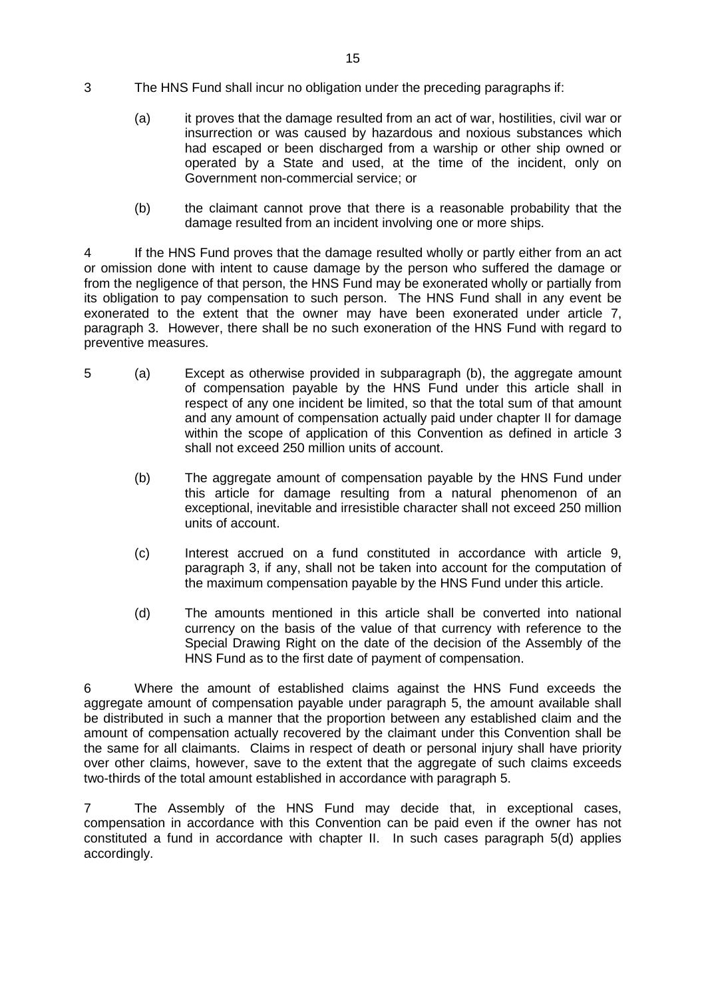- 3 The HNS Fund shall incur no obligation under the preceding paragraphs if:
	- (a) it proves that the damage resulted from an act of war, hostilities, civil war or insurrection or was caused by hazardous and noxious substances which had escaped or been discharged from a warship or other ship owned or operated by a State and used, at the time of the incident, only on Government non-commercial service; or
	- (b) the claimant cannot prove that there is a reasonable probability that the damage resulted from an incident involving one or more ships.

4 If the HNS Fund proves that the damage resulted wholly or partly either from an act or omission done with intent to cause damage by the person who suffered the damage or from the negligence of that person, the HNS Fund may be exonerated wholly or partially from its obligation to pay compensation to such person. The HNS Fund shall in any event be exonerated to the extent that the owner may have been exonerated under article 7, paragraph 3. However, there shall be no such exoneration of the HNS Fund with regard to preventive measures.

- 5 (a) Except as otherwise provided in subparagraph (b), the aggregate amount of compensation payable by the HNS Fund under this article shall in respect of any one incident be limited, so that the total sum of that amount and any amount of compensation actually paid under chapter II for damage within the scope of application of this Convention as defined in article 3 shall not exceed 250 million units of account.
	- (b) The aggregate amount of compensation payable by the HNS Fund under this article for damage resulting from a natural phenomenon of an exceptional, inevitable and irresistible character shall not exceed 250 million units of account.
	- (c) Interest accrued on a fund constituted in accordance with article 9, paragraph 3, if any, shall not be taken into account for the computation of the maximum compensation payable by the HNS Fund under this article.
	- (d) The amounts mentioned in this article shall be converted into national currency on the basis of the value of that currency with reference to the Special Drawing Right on the date of the decision of the Assembly of the HNS Fund as to the first date of payment of compensation.

6 Where the amount of established claims against the HNS Fund exceeds the aggregate amount of compensation payable under paragraph 5, the amount available shall be distributed in such a manner that the proportion between any established claim and the amount of compensation actually recovered by the claimant under this Convention shall be the same for all claimants. Claims in respect of death or personal injury shall have priority over other claims, however, save to the extent that the aggregate of such claims exceeds two-thirds of the total amount established in accordance with paragraph 5.

7 The Assembly of the HNS Fund may decide that, in exceptional cases, compensation in accordance with this Convention can be paid even if the owner has not constituted a fund in accordance with chapter II. In such cases paragraph 5(d) applies accordingly.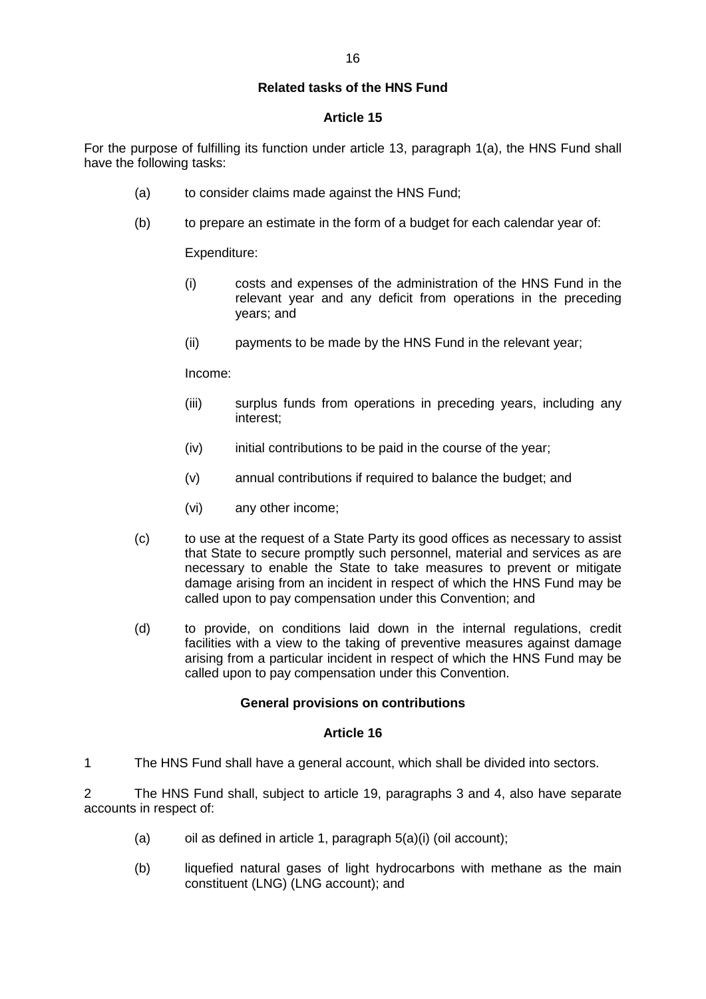### **Related tasks of the HNS Fund**

#### **Article 15**

For the purpose of fulfilling its function under article 13, paragraph 1(a), the HNS Fund shall have the following tasks:

- (a) to consider claims made against the HNS Fund;
- (b) to prepare an estimate in the form of a budget for each calendar year of:

Expenditure:

- (i) costs and expenses of the administration of the HNS Fund in the relevant year and any deficit from operations in the preceding years; and
- (ii) payments to be made by the HNS Fund in the relevant year;

Income:

- (iii) surplus funds from operations in preceding years, including any interest;
- (iv) initial contributions to be paid in the course of the year;
- (v) annual contributions if required to balance the budget; and
- (vi) any other income;
- (c) to use at the request of a State Party its good offices as necessary to assist that State to secure promptly such personnel, material and services as are necessary to enable the State to take measures to prevent or mitigate damage arising from an incident in respect of which the HNS Fund may be called upon to pay compensation under this Convention; and
- (d) to provide, on conditions laid down in the internal regulations, credit facilities with a view to the taking of preventive measures against damage arising from a particular incident in respect of which the HNS Fund may be called upon to pay compensation under this Convention.

#### **General provisions on contributions**

#### **Article 16**

1 The HNS Fund shall have a general account, which shall be divided into sectors.

2 The HNS Fund shall, subject to article 19, paragraphs 3 and 4, also have separate accounts in respect of:

- (a) oil as defined in article 1, paragraph  $5(a)(i)$  (oil account);
- (b) liquefied natural gases of light hydrocarbons with methane as the main constituent (LNG) (LNG account); and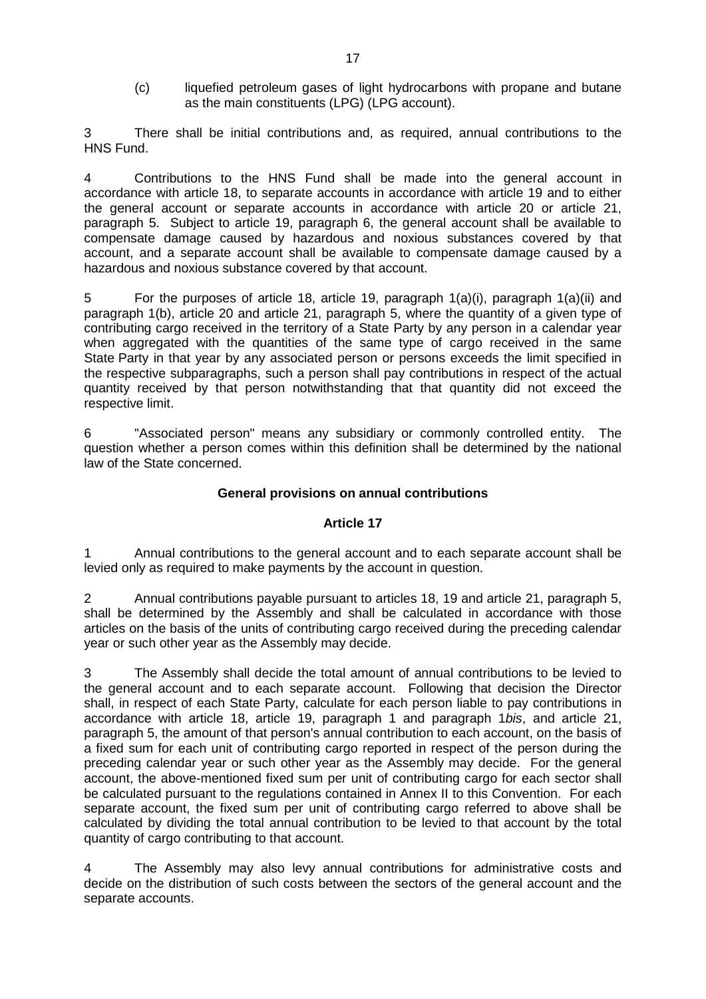(c) liquefied petroleum gases of light hydrocarbons with propane and butane as the main constituents (LPG) (LPG account).

There shall be initial contributions and, as required, annual contributions to the HNS Fund.

4 Contributions to the HNS Fund shall be made into the general account in accordance with article 18, to separate accounts in accordance with article 19 and to either the general account or separate accounts in accordance with article 20 or article 21, paragraph 5. Subject to article 19, paragraph 6, the general account shall be available to compensate damage caused by hazardous and noxious substances covered by that account, and a separate account shall be available to compensate damage caused by a hazardous and noxious substance covered by that account.

5 For the purposes of article 18, article 19, paragraph 1(a)(i), paragraph 1(a)(ii) and paragraph 1(b), article 20 and article 21, paragraph 5, where the quantity of a given type of contributing cargo received in the territory of a State Party by any person in a calendar year when aggregated with the quantities of the same type of cargo received in the same State Party in that year by any associated person or persons exceeds the limit specified in the respective subparagraphs, such a person shall pay contributions in respect of the actual quantity received by that person notwithstanding that that quantity did not exceed the respective limit.

6 "Associated person" means any subsidiary or commonly controlled entity. The question whether a person comes within this definition shall be determined by the national law of the State concerned.

### **General provisions on annual contributions**

### **Article 17**

1 Annual contributions to the general account and to each separate account shall be levied only as required to make payments by the account in question.

2 Annual contributions payable pursuant to articles 18, 19 and article 21, paragraph 5, shall be determined by the Assembly and shall be calculated in accordance with those articles on the basis of the units of contributing cargo received during the preceding calendar year or such other year as the Assembly may decide.

3 The Assembly shall decide the total amount of annual contributions to be levied to the general account and to each separate account. Following that decision the Director shall, in respect of each State Party, calculate for each person liable to pay contributions in accordance with article 18, article 19, paragraph 1 and paragraph 1*bis*, and article 21, paragraph 5, the amount of that person's annual contribution to each account, on the basis of a fixed sum for each unit of contributing cargo reported in respect of the person during the preceding calendar year or such other year as the Assembly may decide. For the general account, the above-mentioned fixed sum per unit of contributing cargo for each sector shall be calculated pursuant to the regulations contained in Annex II to this Convention. For each separate account, the fixed sum per unit of contributing cargo referred to above shall be calculated by dividing the total annual contribution to be levied to that account by the total quantity of cargo contributing to that account.

4 The Assembly may also levy annual contributions for administrative costs and decide on the distribution of such costs between the sectors of the general account and the separate accounts.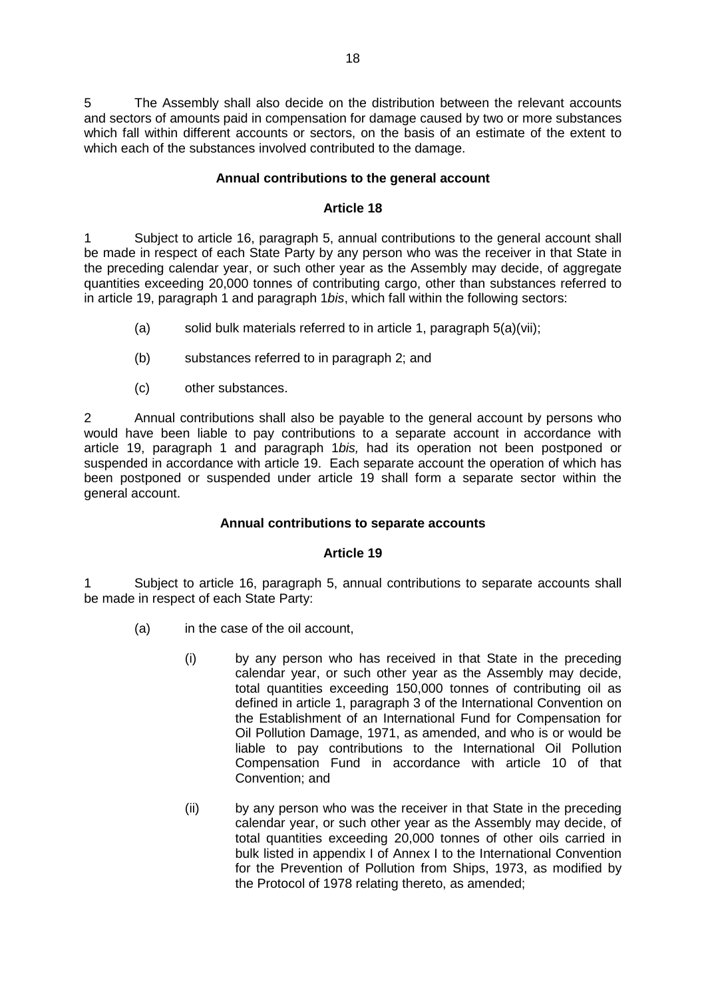5 The Assembly shall also decide on the distribution between the relevant accounts and sectors of amounts paid in compensation for damage caused by two or more substances which fall within different accounts or sectors, on the basis of an estimate of the extent to which each of the substances involved contributed to the damage.

### **Annual contributions to the general account**

#### **Article 18**

1 Subject to article 16, paragraph 5, annual contributions to the general account shall be made in respect of each State Party by any person who was the receiver in that State in the preceding calendar year, or such other year as the Assembly may decide, of aggregate quantities exceeding 20,000 tonnes of contributing cargo, other than substances referred to in article 19, paragraph 1 and paragraph 1*bis*, which fall within the following sectors:

- (a) solid bulk materials referred to in article 1, paragraph 5(a)(vii);
- (b) substances referred to in paragraph 2; and
- (c) other substances.

2 Annual contributions shall also be payable to the general account by persons who would have been liable to pay contributions to a separate account in accordance with article 19, paragraph 1 and paragraph 1*bis,* had its operation not been postponed or suspended in accordance with article 19. Each separate account the operation of which has been postponed or suspended under article 19 shall form a separate sector within the general account.

### **Annual contributions to separate accounts**

### **Article 19**

1 Subject to article 16, paragraph 5, annual contributions to separate accounts shall be made in respect of each State Party:

- (a) in the case of the oil account,
	- (i) by any person who has received in that State in the preceding calendar year, or such other year as the Assembly may decide, total quantities exceeding 150,000 tonnes of contributing oil as defined in article 1, paragraph 3 of the International Convention on the Establishment of an International Fund for Compensation for Oil Pollution Damage, 1971, as amended, and who is or would be liable to pay contributions to the International Oil Pollution Compensation Fund in accordance with article 10 of that Convention; and
	- (ii) by any person who was the receiver in that State in the preceding calendar year, or such other year as the Assembly may decide, of total quantities exceeding 20,000 tonnes of other oils carried in bulk listed in appendix I of Annex I to the International Convention for the Prevention of Pollution from Ships, 1973, as modified by the Protocol of 1978 relating thereto, as amended;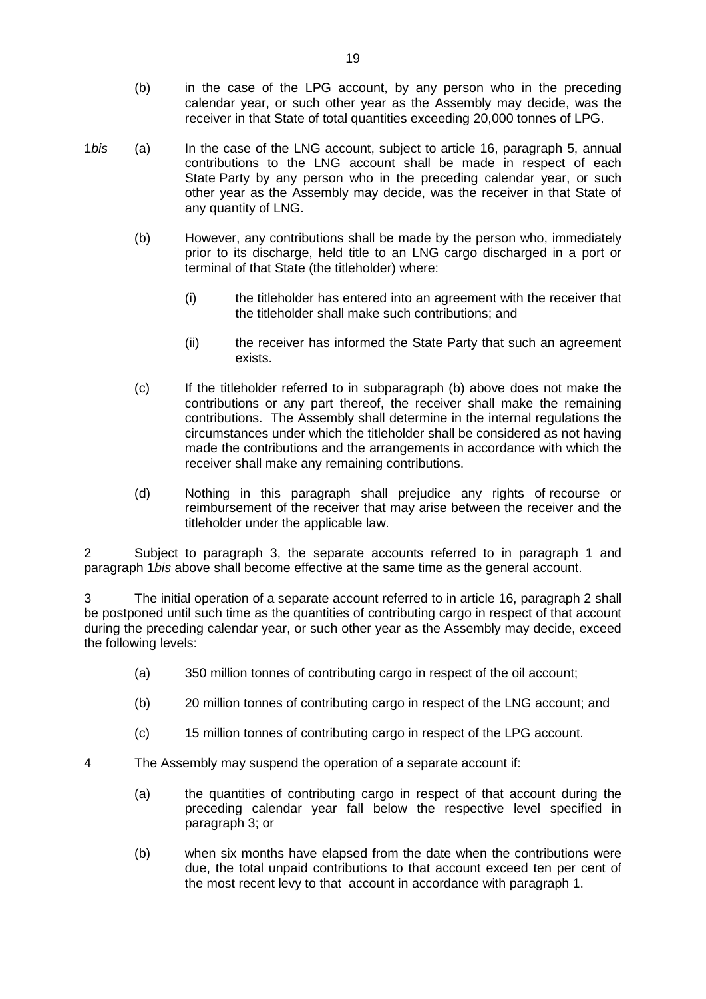- (b) in the case of the LPG account, by any person who in the preceding calendar year, or such other year as the Assembly may decide, was the receiver in that State of total quantities exceeding 20,000 tonnes of LPG.
- 1*bis* (a) In the case of the LNG account, subject to article 16, paragraph 5, annual contributions to the LNG account shall be made in respect of each State Party by any person who in the preceding calendar year, or such other year as the Assembly may decide, was the receiver in that State of any quantity of LNG.
	- (b) However, any contributions shall be made by the person who, immediately prior to its discharge, held title to an LNG cargo discharged in a port or terminal of that State (the titleholder) where:
		- (i) the titleholder has entered into an agreement with the receiver that the titleholder shall make such contributions; and
		- (ii) the receiver has informed the State Party that such an agreement exists.
	- (c) If the titleholder referred to in subparagraph (b) above does not make the contributions or any part thereof, the receiver shall make the remaining contributions. The Assembly shall determine in the internal regulations the circumstances under which the titleholder shall be considered as not having made the contributions and the arrangements in accordance with which the receiver shall make any remaining contributions.
	- (d) Nothing in this paragraph shall prejudice any rights of recourse or reimbursement of the receiver that may arise between the receiver and the titleholder under the applicable law.

2 Subject to paragraph 3, the separate accounts referred to in paragraph 1 and paragraph 1*bis* above shall become effective at the same time as the general account.

3 The initial operation of a separate account referred to in article 16, paragraph 2 shall be postponed until such time as the quantities of contributing cargo in respect of that account during the preceding calendar year, or such other year as the Assembly may decide, exceed the following levels:

- (a) 350 million tonnes of contributing cargo in respect of the oil account;
- (b) 20 million tonnes of contributing cargo in respect of the LNG account; and
- (c) 15 million tonnes of contributing cargo in respect of the LPG account.
- 4 The Assembly may suspend the operation of a separate account if:
	- (a) the quantities of contributing cargo in respect of that account during the preceding calendar year fall below the respective level specified in paragraph 3; or
	- (b) when six months have elapsed from the date when the contributions were due, the total unpaid contributions to that account exceed ten per cent of the most recent levy to that account in accordance with paragraph 1.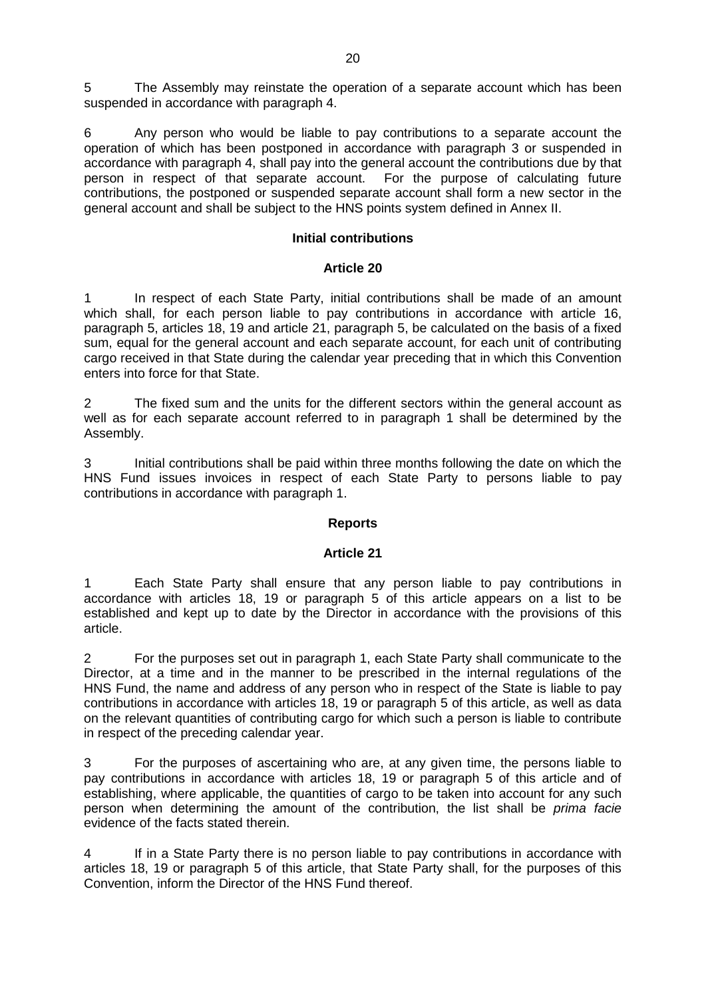5 The Assembly may reinstate the operation of a separate account which has been suspended in accordance with paragraph 4.

6 Any person who would be liable to pay contributions to a separate account the operation of which has been postponed in accordance with paragraph 3 or suspended in accordance with paragraph 4, shall pay into the general account the contributions due by that person in respect of that separate account. For the purpose of calculating future person in respect of that separate account. contributions, the postponed or suspended separate account shall form a new sector in the general account and shall be subject to the HNS points system defined in Annex II.

### **Initial contributions**

#### **Article 20**

In respect of each State Party, initial contributions shall be made of an amount which shall, for each person liable to pay contributions in accordance with article 16, paragraph 5, articles 18, 19 and article 21, paragraph 5, be calculated on the basis of a fixed sum, equal for the general account and each separate account, for each unit of contributing cargo received in that State during the calendar year preceding that in which this Convention enters into force for that State.

2 The fixed sum and the units for the different sectors within the general account as well as for each separate account referred to in paragraph 1 shall be determined by the Assembly.

3 Initial contributions shall be paid within three months following the date on which the HNS Fund issues invoices in respect of each State Party to persons liable to pay contributions in accordance with paragraph 1.

### **Reports**

### **Article 21**

1 Each State Party shall ensure that any person liable to pay contributions in accordance with articles 18, 19 or paragraph 5 of this article appears on a list to be established and kept up to date by the Director in accordance with the provisions of this article.

2 For the purposes set out in paragraph 1, each State Party shall communicate to the Director, at a time and in the manner to be prescribed in the internal regulations of the HNS Fund, the name and address of any person who in respect of the State is liable to pay contributions in accordance with articles 18, 19 or paragraph 5 of this article, as well as data on the relevant quantities of contributing cargo for which such a person is liable to contribute in respect of the preceding calendar year.

3 For the purposes of ascertaining who are, at any given time, the persons liable to pay contributions in accordance with articles 18, 19 or paragraph 5 of this article and of establishing, where applicable, the quantities of cargo to be taken into account for any such person when determining the amount of the contribution, the list shall be *prima facie* evidence of the facts stated therein.

4 If in a State Party there is no person liable to pay contributions in accordance with articles 18, 19 or paragraph 5 of this article, that State Party shall, for the purposes of this Convention, inform the Director of the HNS Fund thereof.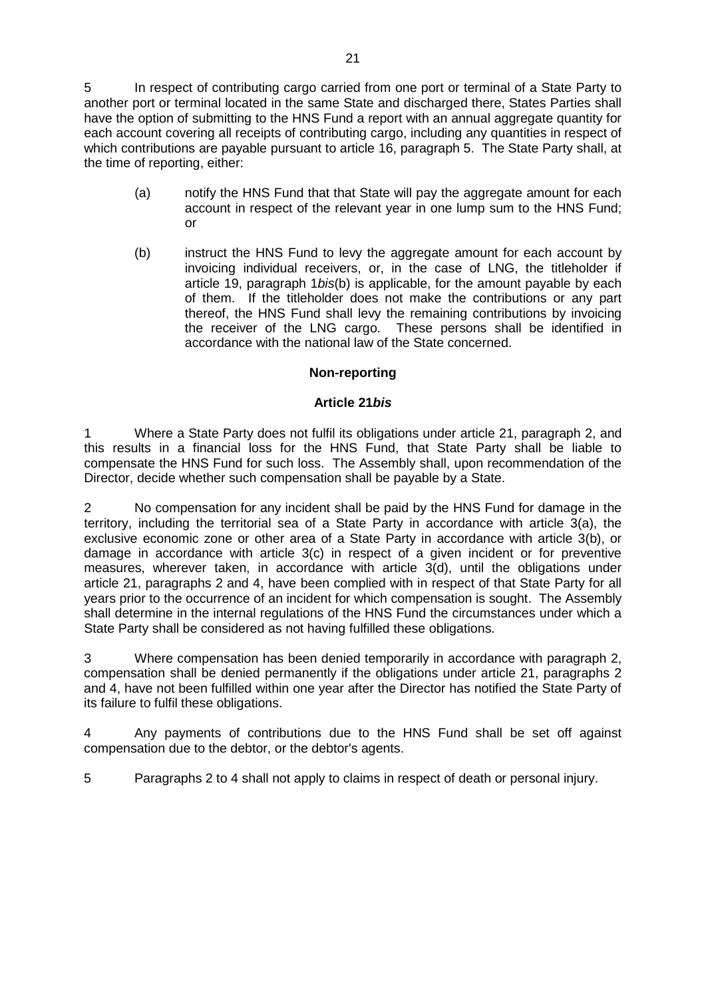5 In respect of contributing cargo carried from one port or terminal of a State Party to another port or terminal located in the same State and discharged there, States Parties shall have the option of submitting to the HNS Fund a report with an annual aggregate quantity for each account covering all receipts of contributing cargo, including any quantities in respect of which contributions are payable pursuant to article 16, paragraph 5. The State Party shall, at the time of reporting, either:

- (a) notify the HNS Fund that that State will pay the aggregate amount for each account in respect of the relevant year in one lump sum to the HNS Fund; or
- (b) instruct the HNS Fund to levy the aggregate amount for each account by invoicing individual receivers, or, in the case of LNG, the titleholder if article 19, paragraph 1*bis*(b) is applicable, for the amount payable by each of them. If the titleholder does not make the contributions or any part thereof, the HNS Fund shall levy the remaining contributions by invoicing the receiver of the LNG cargo. These persons shall be identified in accordance with the national law of the State concerned.

### **Non-reporting**

### **Article 21***bis*

1 Where a State Party does not fulfil its obligations under article 21, paragraph 2, and this results in a financial loss for the HNS Fund, that State Party shall be liable to compensate the HNS Fund for such loss. The Assembly shall, upon recommendation of the Director, decide whether such compensation shall be payable by a State.

2 No compensation for any incident shall be paid by the HNS Fund for damage in the territory, including the territorial sea of a State Party in accordance with article 3(a), the exclusive economic zone or other area of a State Party in accordance with article 3(b), or damage in accordance with article 3(c) in respect of a given incident or for preventive measures, wherever taken, in accordance with article 3(d), until the obligations under article 21, paragraphs 2 and 4, have been complied with in respect of that State Party for all years prior to the occurrence of an incident for which compensation is sought. The Assembly shall determine in the internal regulations of the HNS Fund the circumstances under which a State Party shall be considered as not having fulfilled these obligations.

3 Where compensation has been denied temporarily in accordance with paragraph 2, compensation shall be denied permanently if the obligations under article 21, paragraphs 2 and 4, have not been fulfilled within one year after the Director has notified the State Party of its failure to fulfil these obligations.

4 Any payments of contributions due to the HNS Fund shall be set off against compensation due to the debtor, or the debtor's agents.

5 Paragraphs 2 to 4 shall not apply to claims in respect of death or personal injury.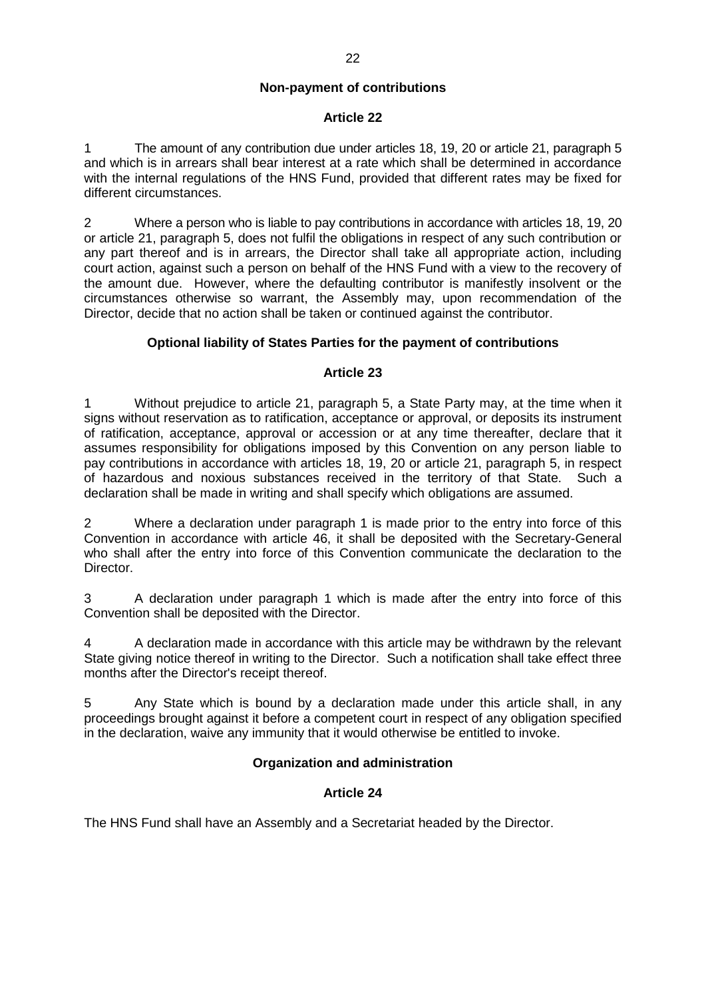#### **Non-payment of contributions**

#### **Article 22**

1 The amount of any contribution due under articles 18, 19, 20 or article 21, paragraph 5 and which is in arrears shall bear interest at a rate which shall be determined in accordance with the internal regulations of the HNS Fund, provided that different rates may be fixed for different circumstances.

2 Where a person who is liable to pay contributions in accordance with articles 18, 19, 20 or article 21, paragraph 5, does not fulfil the obligations in respect of any such contribution or any part thereof and is in arrears, the Director shall take all appropriate action, including court action, against such a person on behalf of the HNS Fund with a view to the recovery of the amount due. However, where the defaulting contributor is manifestly insolvent or the circumstances otherwise so warrant, the Assembly may, upon recommendation of the Director, decide that no action shall be taken or continued against the contributor.

### **Optional liability of States Parties for the payment of contributions**

#### **Article 23**

1 Without prejudice to article 21, paragraph 5, a State Party may, at the time when it signs without reservation as to ratification, acceptance or approval, or deposits its instrument of ratification, acceptance, approval or accession or at any time thereafter, declare that it assumes responsibility for obligations imposed by this Convention on any person liable to pay contributions in accordance with articles 18, 19, 20 or article 21, paragraph 5, in respect of hazardous and noxious substances received in the territory of that State. Such a declaration shall be made in writing and shall specify which obligations are assumed.

2 Where a declaration under paragraph 1 is made prior to the entry into force of this Convention in accordance with article 46, it shall be deposited with the Secretary-General who shall after the entry into force of this Convention communicate the declaration to the Director.

3 A declaration under paragraph 1 which is made after the entry into force of this Convention shall be deposited with the Director.

4 A declaration made in accordance with this article may be withdrawn by the relevant State giving notice thereof in writing to the Director. Such a notification shall take effect three months after the Director's receipt thereof.

5 Any State which is bound by a declaration made under this article shall, in any proceedings brought against it before a competent court in respect of any obligation specified in the declaration, waive any immunity that it would otherwise be entitled to invoke.

### **Organization and administration**

### **Article 24**

The HNS Fund shall have an Assembly and a Secretariat headed by the Director.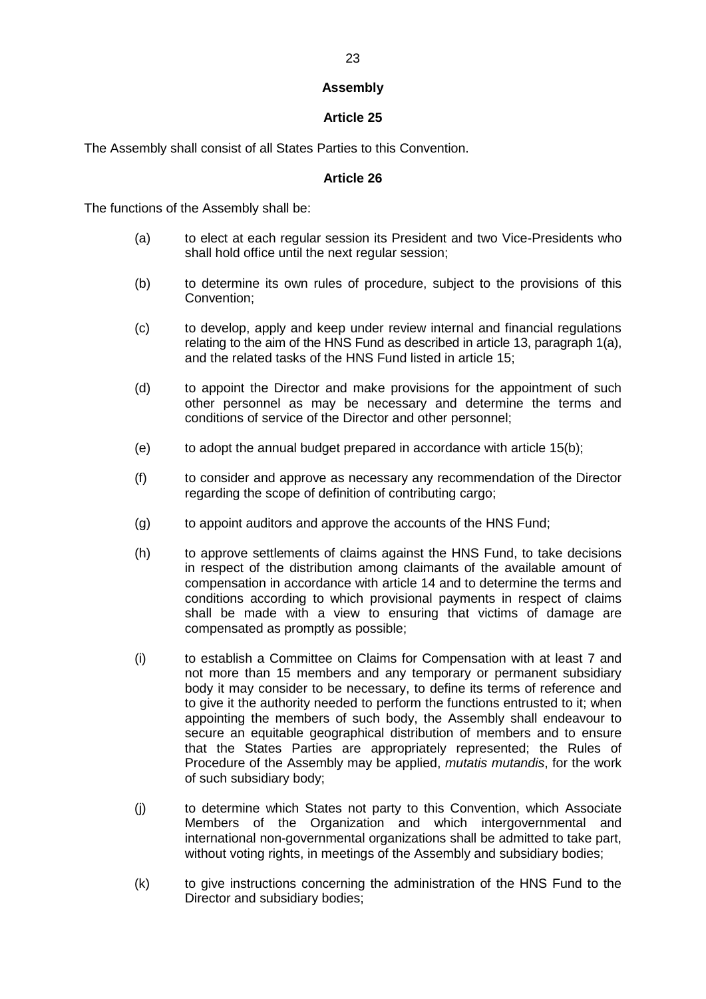# **Assembly**

# **Article 25**

The Assembly shall consist of all States Parties to this Convention.

### **Article 26**

The functions of the Assembly shall be:

- (a) to elect at each regular session its President and two Vice-Presidents who shall hold office until the next regular session;
- (b) to determine its own rules of procedure, subject to the provisions of this Convention;
- (c) to develop, apply and keep under review internal and financial regulations relating to the aim of the HNS Fund as described in article 13, paragraph 1(a), and the related tasks of the HNS Fund listed in article 15;
- (d) to appoint the Director and make provisions for the appointment of such other personnel as may be necessary and determine the terms and conditions of service of the Director and other personnel;
- (e) to adopt the annual budget prepared in accordance with article 15(b);
- (f) to consider and approve as necessary any recommendation of the Director regarding the scope of definition of contributing cargo;
- (g) to appoint auditors and approve the accounts of the HNS Fund;
- (h) to approve settlements of claims against the HNS Fund, to take decisions in respect of the distribution among claimants of the available amount of compensation in accordance with article 14 and to determine the terms and conditions according to which provisional payments in respect of claims shall be made with a view to ensuring that victims of damage are compensated as promptly as possible;
- (i) to establish a Committee on Claims for Compensation with at least 7 and not more than 15 members and any temporary or permanent subsidiary body it may consider to be necessary, to define its terms of reference and to give it the authority needed to perform the functions entrusted to it; when appointing the members of such body, the Assembly shall endeavour to secure an equitable geographical distribution of members and to ensure that the States Parties are appropriately represented; the Rules of Procedure of the Assembly may be applied, *mutatis mutandis*, for the work of such subsidiary body;
- (j) to determine which States not party to this Convention, which Associate Members of the Organization and which intergovernmental and international non-governmental organizations shall be admitted to take part, without voting rights, in meetings of the Assembly and subsidiary bodies;
- (k) to give instructions concerning the administration of the HNS Fund to the Director and subsidiary bodies;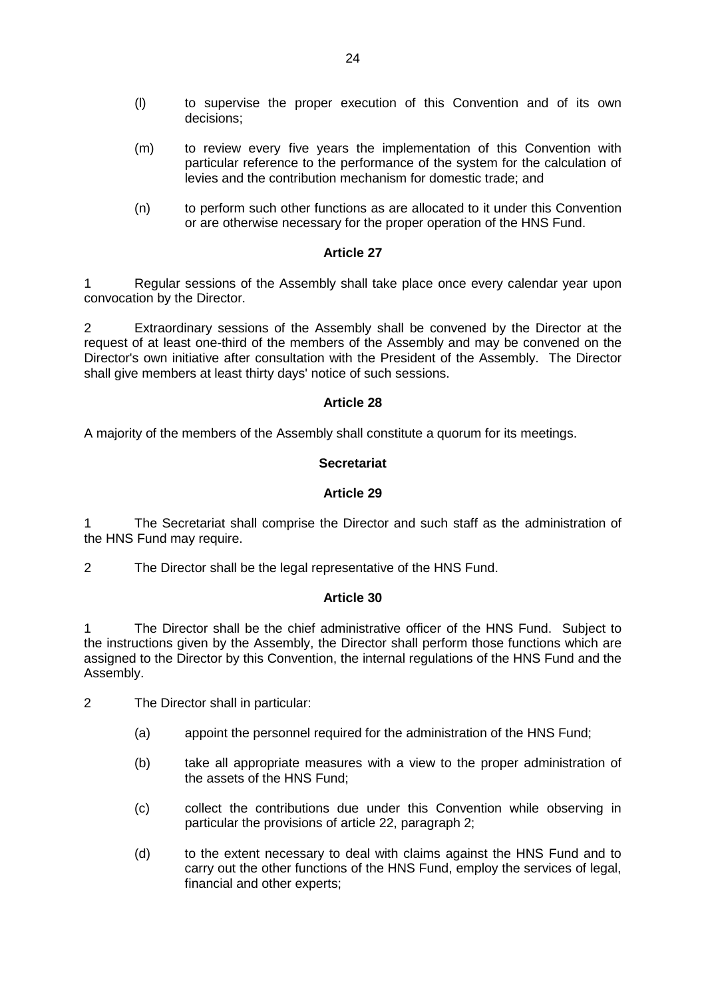- (l) to supervise the proper execution of this Convention and of its own decisions;
- (m) to review every five years the implementation of this Convention with particular reference to the performance of the system for the calculation of levies and the contribution mechanism for domestic trade; and
- (n) to perform such other functions as are allocated to it under this Convention or are otherwise necessary for the proper operation of the HNS Fund.

1 Regular sessions of the Assembly shall take place once every calendar year upon convocation by the Director.

2 Extraordinary sessions of the Assembly shall be convened by the Director at the request of at least one-third of the members of the Assembly and may be convened on the Director's own initiative after consultation with the President of the Assembly. The Director shall give members at least thirty days' notice of such sessions.

#### **Article 28**

A majority of the members of the Assembly shall constitute a quorum for its meetings.

#### **Secretariat**

#### **Article 29**

The Secretariat shall comprise the Director and such staff as the administration of the HNS Fund may require.

2 The Director shall be the legal representative of the HNS Fund.

#### **Article 30**

1 The Director shall be the chief administrative officer of the HNS Fund. Subject to the instructions given by the Assembly, the Director shall perform those functions which are assigned to the Director by this Convention, the internal regulations of the HNS Fund and the Assembly.

- 2 The Director shall in particular:
	- (a) appoint the personnel required for the administration of the HNS Fund;
	- (b) take all appropriate measures with a view to the proper administration of the assets of the HNS Fund;
	- (c) collect the contributions due under this Convention while observing in particular the provisions of article 22, paragraph 2;
	- (d) to the extent necessary to deal with claims against the HNS Fund and to carry out the other functions of the HNS Fund, employ the services of legal, financial and other experts;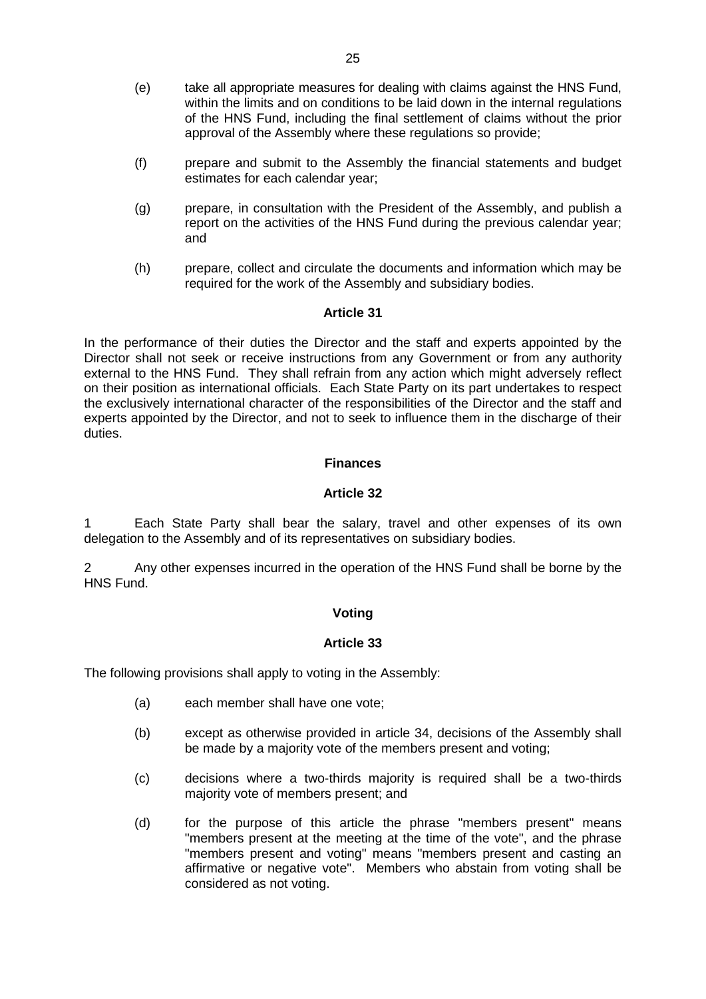- (e) take all appropriate measures for dealing with claims against the HNS Fund, within the limits and on conditions to be laid down in the internal regulations of the HNS Fund, including the final settlement of claims without the prior approval of the Assembly where these regulations so provide;
- (f) prepare and submit to the Assembly the financial statements and budget estimates for each calendar year;
- (g) prepare, in consultation with the President of the Assembly, and publish a report on the activities of the HNS Fund during the previous calendar year; and
- (h) prepare, collect and circulate the documents and information which may be required for the work of the Assembly and subsidiary bodies.

In the performance of their duties the Director and the staff and experts appointed by the Director shall not seek or receive instructions from any Government or from any authority external to the HNS Fund. They shall refrain from any action which might adversely reflect on their position as international officials. Each State Party on its part undertakes to respect the exclusively international character of the responsibilities of the Director and the staff and experts appointed by the Director, and not to seek to influence them in the discharge of their duties.

#### **Finances**

#### **Article 32**

1 Each State Party shall bear the salary, travel and other expenses of its own delegation to the Assembly and of its representatives on subsidiary bodies.

2 Any other expenses incurred in the operation of the HNS Fund shall be borne by the HNS Fund.

### **Voting**

### **Article 33**

The following provisions shall apply to voting in the Assembly:

- (a) each member shall have one vote;
- (b) except as otherwise provided in article 34, decisions of the Assembly shall be made by a majority vote of the members present and voting;
- (c) decisions where a two-thirds majority is required shall be a two-thirds majority vote of members present; and
- (d) for the purpose of this article the phrase "members present" means "members present at the meeting at the time of the vote", and the phrase "members present and voting" means "members present and casting an affirmative or negative vote". Members who abstain from voting shall be considered as not voting.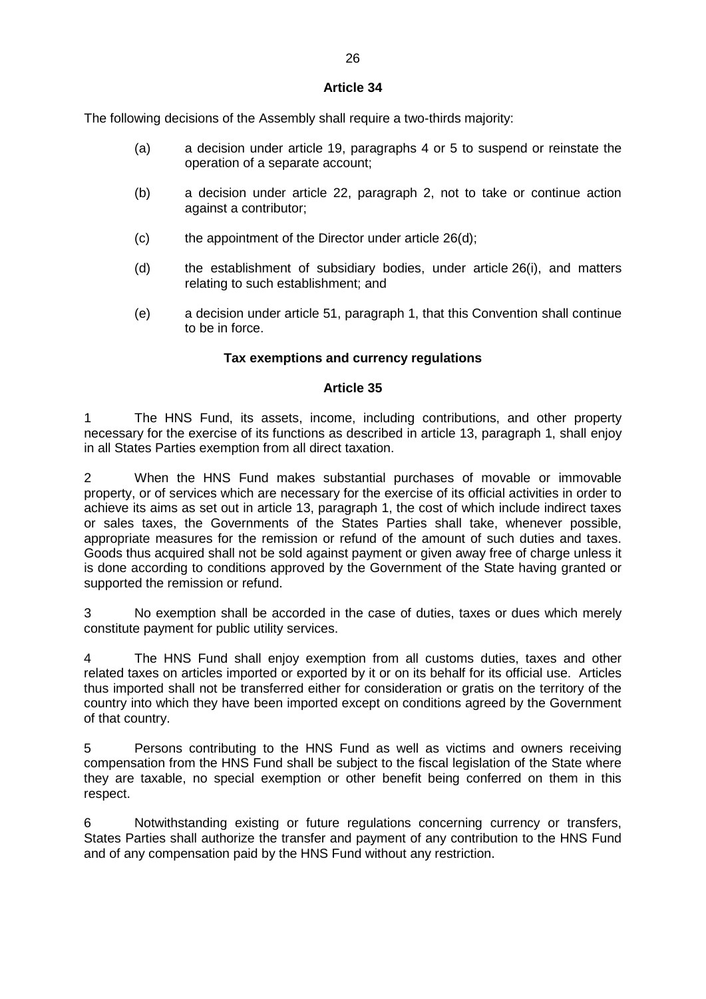The following decisions of the Assembly shall require a two-thirds majority:

- (a) a decision under article 19, paragraphs 4 or 5 to suspend or reinstate the operation of a separate account;
- (b) a decision under article 22, paragraph 2, not to take or continue action against a contributor;
- (c) the appointment of the Director under article 26(d);
- (d) the establishment of subsidiary bodies, under article 26(i), and matters relating to such establishment; and
- (e) a decision under article 51, paragraph 1, that this Convention shall continue to be in force.

# **Tax exemptions and currency regulations**

# **Article 35**

1 The HNS Fund, its assets, income, including contributions, and other property necessary for the exercise of its functions as described in article 13, paragraph 1, shall enjoy in all States Parties exemption from all direct taxation.

2 When the HNS Fund makes substantial purchases of movable or immovable property, or of services which are necessary for the exercise of its official activities in order to achieve its aims as set out in article 13, paragraph 1, the cost of which include indirect taxes or sales taxes, the Governments of the States Parties shall take, whenever possible, appropriate measures for the remission or refund of the amount of such duties and taxes. Goods thus acquired shall not be sold against payment or given away free of charge unless it is done according to conditions approved by the Government of the State having granted or supported the remission or refund.

3 No exemption shall be accorded in the case of duties, taxes or dues which merely constitute payment for public utility services.

4 The HNS Fund shall enjoy exemption from all customs duties, taxes and other related taxes on articles imported or exported by it or on its behalf for its official use. Articles thus imported shall not be transferred either for consideration or gratis on the territory of the country into which they have been imported except on conditions agreed by the Government of that country.

5 Persons contributing to the HNS Fund as well as victims and owners receiving compensation from the HNS Fund shall be subject to the fiscal legislation of the State where they are taxable, no special exemption or other benefit being conferred on them in this respect.

6 Notwithstanding existing or future regulations concerning currency or transfers, States Parties shall authorize the transfer and payment of any contribution to the HNS Fund and of any compensation paid by the HNS Fund without any restriction.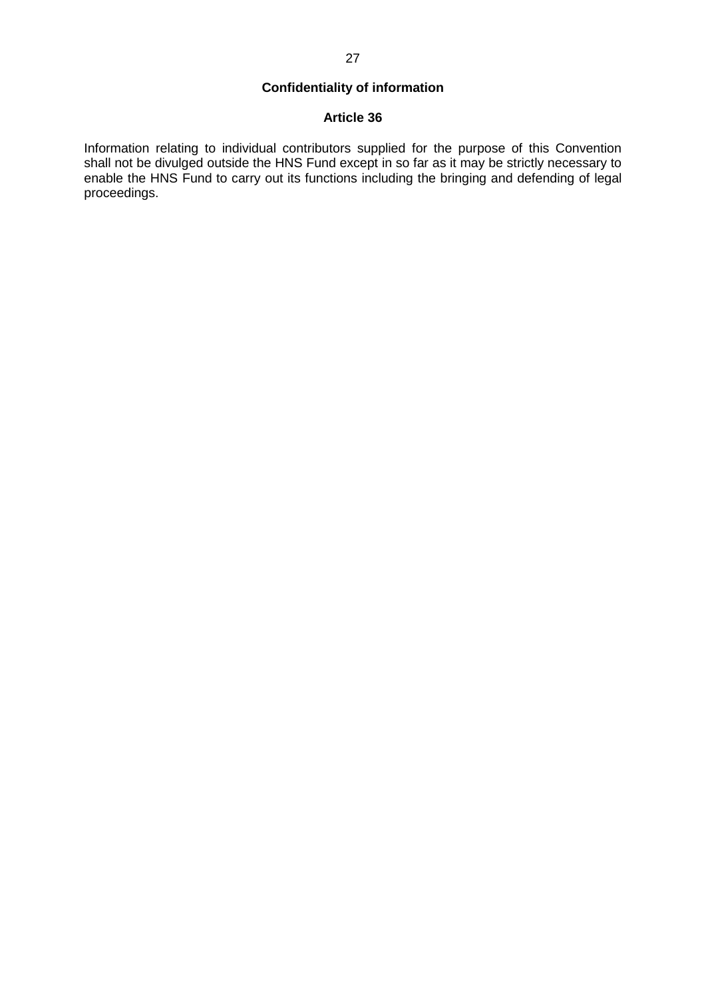# **Confidentiality of information**

### **Article 36**

Information relating to individual contributors supplied for the purpose of this Convention shall not be divulged outside the HNS Fund except in so far as it may be strictly necessary to enable the HNS Fund to carry out its functions including the bringing and defending of legal proceedings.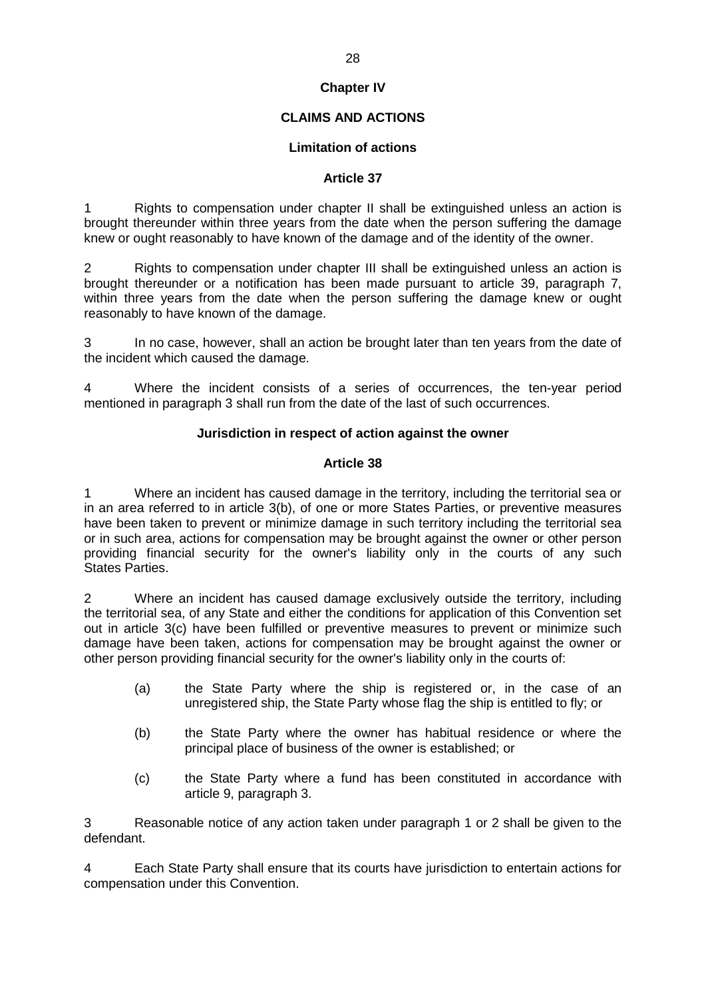# **Chapter IV**

# **CLAIMS AND ACTIONS**

### **Limitation of actions**

#### **Article 37**

1 Rights to compensation under chapter II shall be extinguished unless an action is brought thereunder within three years from the date when the person suffering the damage knew or ought reasonably to have known of the damage and of the identity of the owner.

2 Rights to compensation under chapter III shall be extinguished unless an action is brought thereunder or a notification has been made pursuant to article 39, paragraph 7, within three years from the date when the person suffering the damage knew or ought reasonably to have known of the damage.

3 In no case, however, shall an action be brought later than ten years from the date of the incident which caused the damage.

4 Where the incident consists of a series of occurrences, the ten-year period mentioned in paragraph 3 shall run from the date of the last of such occurrences.

#### **Jurisdiction in respect of action against the owner**

#### **Article 38**

1 Where an incident has caused damage in the territory, including the territorial sea or in an area referred to in article 3(b), of one or more States Parties, or preventive measures have been taken to prevent or minimize damage in such territory including the territorial sea or in such area, actions for compensation may be brought against the owner or other person providing financial security for the owner's liability only in the courts of any such States Parties.

2 Where an incident has caused damage exclusively outside the territory, including the territorial sea, of any State and either the conditions for application of this Convention set out in article 3(c) have been fulfilled or preventive measures to prevent or minimize such damage have been taken, actions for compensation may be brought against the owner or other person providing financial security for the owner's liability only in the courts of:

- (a) the State Party where the ship is registered or, in the case of an unregistered ship, the State Party whose flag the ship is entitled to fly; or
- (b) the State Party where the owner has habitual residence or where the principal place of business of the owner is established; or
- (c) the State Party where a fund has been constituted in accordance with article 9, paragraph 3.

3 Reasonable notice of any action taken under paragraph 1 or 2 shall be given to the defendant.

4 Each State Party shall ensure that its courts have jurisdiction to entertain actions for compensation under this Convention.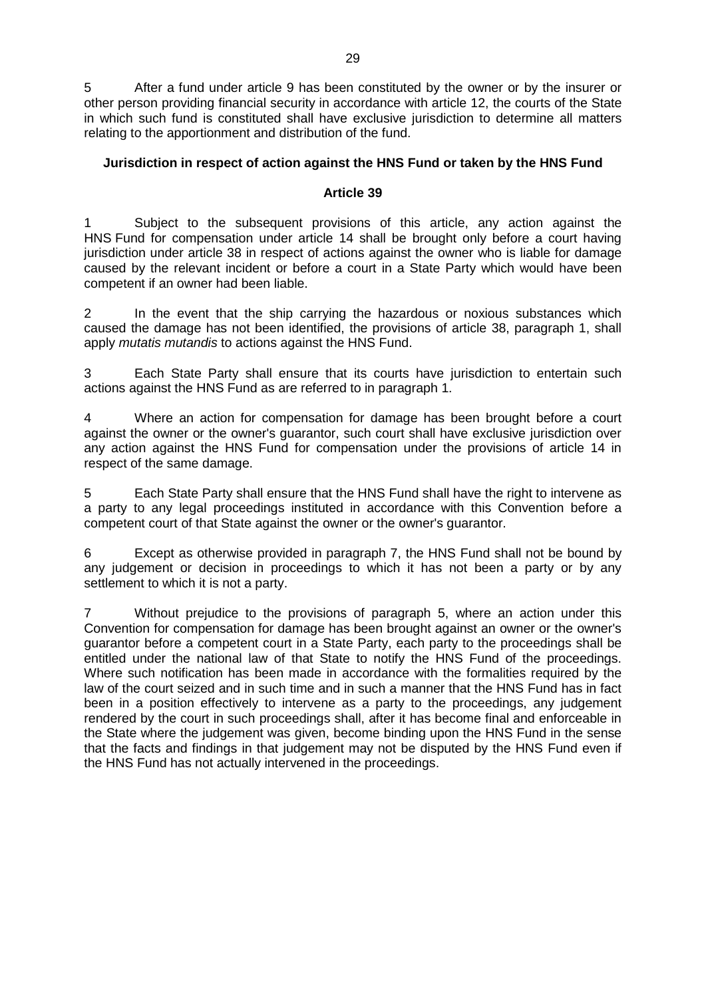5 After a fund under article 9 has been constituted by the owner or by the insurer or other person providing financial security in accordance with article 12, the courts of the State in which such fund is constituted shall have exclusive jurisdiction to determine all matters relating to the apportionment and distribution of the fund.

## **Jurisdiction in respect of action against the HNS Fund or taken by the HNS Fund**

### **Article 39**

Subject to the subsequent provisions of this article, any action against the HNS Fund for compensation under article 14 shall be brought only before a court having jurisdiction under article 38 in respect of actions against the owner who is liable for damage caused by the relevant incident or before a court in a State Party which would have been competent if an owner had been liable.

2 In the event that the ship carrying the hazardous or noxious substances which caused the damage has not been identified, the provisions of article 38, paragraph 1, shall apply *mutatis mutandis* to actions against the HNS Fund.

3 Each State Party shall ensure that its courts have jurisdiction to entertain such actions against the HNS Fund as are referred to in paragraph 1.

4 Where an action for compensation for damage has been brought before a court against the owner or the owner's guarantor, such court shall have exclusive jurisdiction over any action against the HNS Fund for compensation under the provisions of article 14 in respect of the same damage.

5 Each State Party shall ensure that the HNS Fund shall have the right to intervene as a party to any legal proceedings instituted in accordance with this Convention before a competent court of that State against the owner or the owner's guarantor.

6 Except as otherwise provided in paragraph 7, the HNS Fund shall not be bound by any judgement or decision in proceedings to which it has not been a party or by any settlement to which it is not a party.

7 Without prejudice to the provisions of paragraph 5, where an action under this Convention for compensation for damage has been brought against an owner or the owner's guarantor before a competent court in a State Party, each party to the proceedings shall be entitled under the national law of that State to notify the HNS Fund of the proceedings. Where such notification has been made in accordance with the formalities required by the law of the court seized and in such time and in such a manner that the HNS Fund has in fact been in a position effectively to intervene as a party to the proceedings, any judgement rendered by the court in such proceedings shall, after it has become final and enforceable in the State where the judgement was given, become binding upon the HNS Fund in the sense that the facts and findings in that judgement may not be disputed by the HNS Fund even if the HNS Fund has not actually intervened in the proceedings.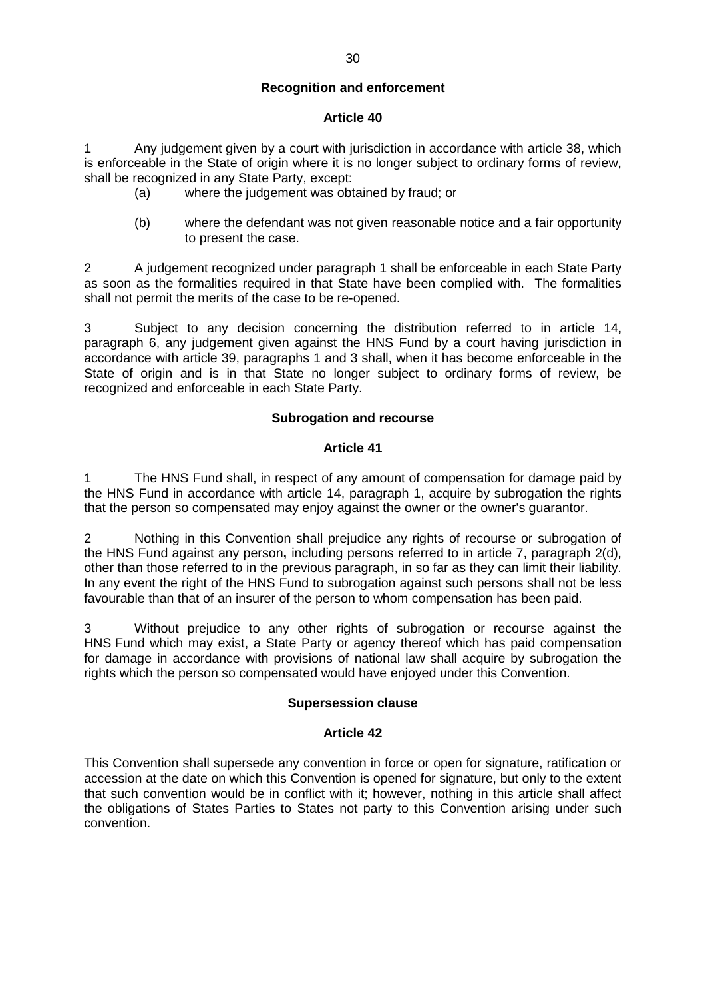1 Any judgement given by a court with jurisdiction in accordance with article 38, which is enforceable in the State of origin where it is no longer subject to ordinary forms of review, shall be recognized in any State Party, except:

- (a) where the judgement was obtained by fraud; or
- (b) where the defendant was not given reasonable notice and a fair opportunity to present the case.

2 A judgement recognized under paragraph 1 shall be enforceable in each State Party as soon as the formalities required in that State have been complied with. The formalities shall not permit the merits of the case to be re-opened.

3 Subject to any decision concerning the distribution referred to in article 14, paragraph 6, any judgement given against the HNS Fund by a court having jurisdiction in accordance with article 39, paragraphs 1 and 3 shall, when it has become enforceable in the State of origin and is in that State no longer subject to ordinary forms of review, be recognized and enforceable in each State Party.

#### **Subrogation and recourse**

#### **Article 41**

1 The HNS Fund shall, in respect of any amount of compensation for damage paid by the HNS Fund in accordance with article 14, paragraph 1, acquire by subrogation the rights that the person so compensated may enjoy against the owner or the owner's guarantor.

2 Nothing in this Convention shall prejudice any rights of recourse or subrogation of the HNS Fund against any person**,** including persons referred to in article 7, paragraph 2(d), other than those referred to in the previous paragraph, in so far as they can limit their liability. In any event the right of the HNS Fund to subrogation against such persons shall not be less favourable than that of an insurer of the person to whom compensation has been paid.

3 Without prejudice to any other rights of subrogation or recourse against the HNS Fund which may exist, a State Party or agency thereof which has paid compensation for damage in accordance with provisions of national law shall acquire by subrogation the rights which the person so compensated would have enjoyed under this Convention.

#### **Supersession clause**

### **Article 42**

This Convention shall supersede any convention in force or open for signature, ratification or accession at the date on which this Convention is opened for signature, but only to the extent that such convention would be in conflict with it; however, nothing in this article shall affect the obligations of States Parties to States not party to this Convention arising under such convention.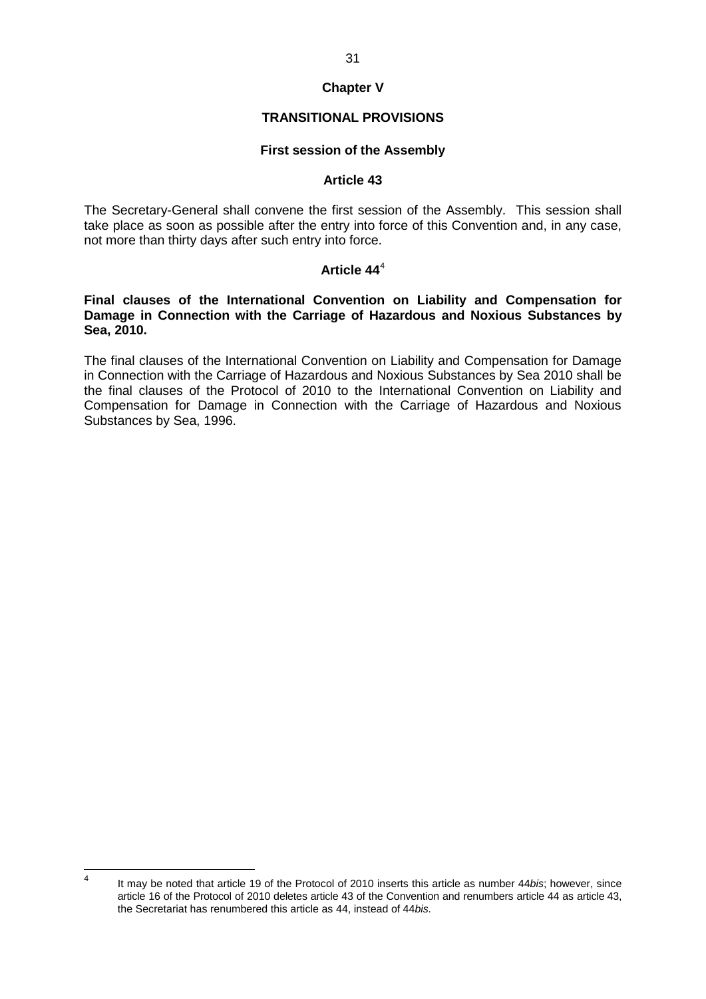## **Chapter V**

### **TRANSITIONAL PROVISIONS**

#### **First session of the Assembly**

#### **Article 43**

The Secretary-General shall convene the first session of the Assembly. This session shall take place as soon as possible after the entry into force of this Convention and, in any case, not more than thirty days after such entry into force.

# **Article 44**<sup>4</sup>

#### **Final clauses of the International Convention on Liability and Compensation for Damage in Connection with the Carriage of Hazardous and Noxious Substances by Sea, 2010.**

The final clauses of the International Convention on Liability and Compensation for Damage in Connection with the Carriage of Hazardous and Noxious Substances by Sea 2010 shall be the final clauses of the Protocol of 2010 to the International Convention on Liability and Compensation for Damage in Connection with the Carriage of Hazardous and Noxious Substances by Sea, 1996.

 <sup>4</sup> It may be noted that article 19 of the Protocol of 2010 inserts this article as number 44*bis*; however, since article 16 of the Protocol of 2010 deletes article 43 of the Convention and renumbers article 44 as article 43, the Secretariat has renumbered this article as 44, instead of 44*bis.*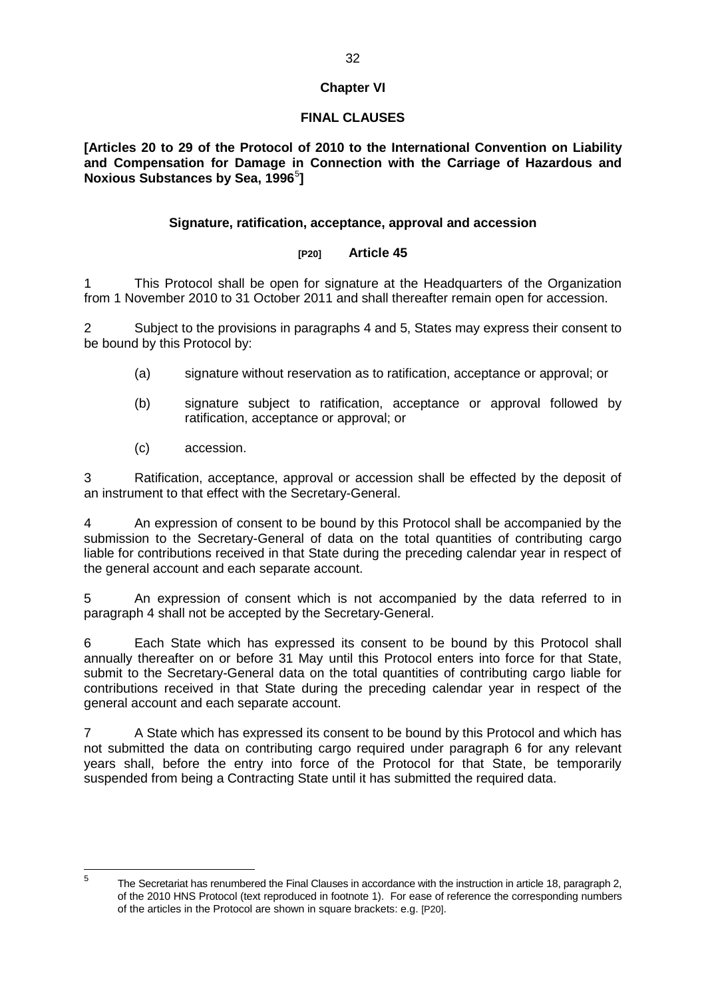# **Chapter VI**

# **FINAL CLAUSES**

**[Articles 20 to 29 of the Protocol of 2010 to the International Convention on Liability and Compensation for Damage in Connection with the Carriage of Hazardous and Noxious Substances by Sea, 1996**<sup>5</sup> **]**

## **Signature, ratification, acceptance, approval and accession**

### **[P20] Article 45**

1 This Protocol shall be open for signature at the Headquarters of the Organization from 1 November 2010 to 31 October 2011 and shall thereafter remain open for accession.

2 Subject to the provisions in paragraphs 4 and 5, States may express their consent to be bound by this Protocol by:

- (a) signature without reservation as to ratification, acceptance or approval; or
- (b) signature subject to ratification, acceptance or approval followed by ratification, acceptance or approval; or
- (c) accession.

3 Ratification, acceptance, approval or accession shall be effected by the deposit of an instrument to that effect with the Secretary-General.

4 An expression of consent to be bound by this Protocol shall be accompanied by the submission to the Secretary-General of data on the total quantities of contributing cargo liable for contributions received in that State during the preceding calendar year in respect of the general account and each separate account.

5 An expression of consent which is not accompanied by the data referred to in paragraph 4 shall not be accepted by the Secretary-General.

6 Each State which has expressed its consent to be bound by this Protocol shall annually thereafter on or before 31 May until this Protocol enters into force for that State, submit to the Secretary-General data on the total quantities of contributing cargo liable for contributions received in that State during the preceding calendar year in respect of the general account and each separate account.

7 A State which has expressed its consent to be bound by this Protocol and which has not submitted the data on contributing cargo required under paragraph 6 for any relevant years shall, before the entry into force of the Protocol for that State, be temporarily suspended from being a Contracting State until it has submitted the required data.

<sup>&</sup>lt;sup>5</sup> The Secretariat has renumbered the Final Clauses in accordance with the instruction in article 18, paragraph 2, of the 2010 HNS Protocol (text reproduced in footnote 1). For ease of reference the corresponding numbers of the articles in the Protocol are shown in square brackets: e.g. [P20].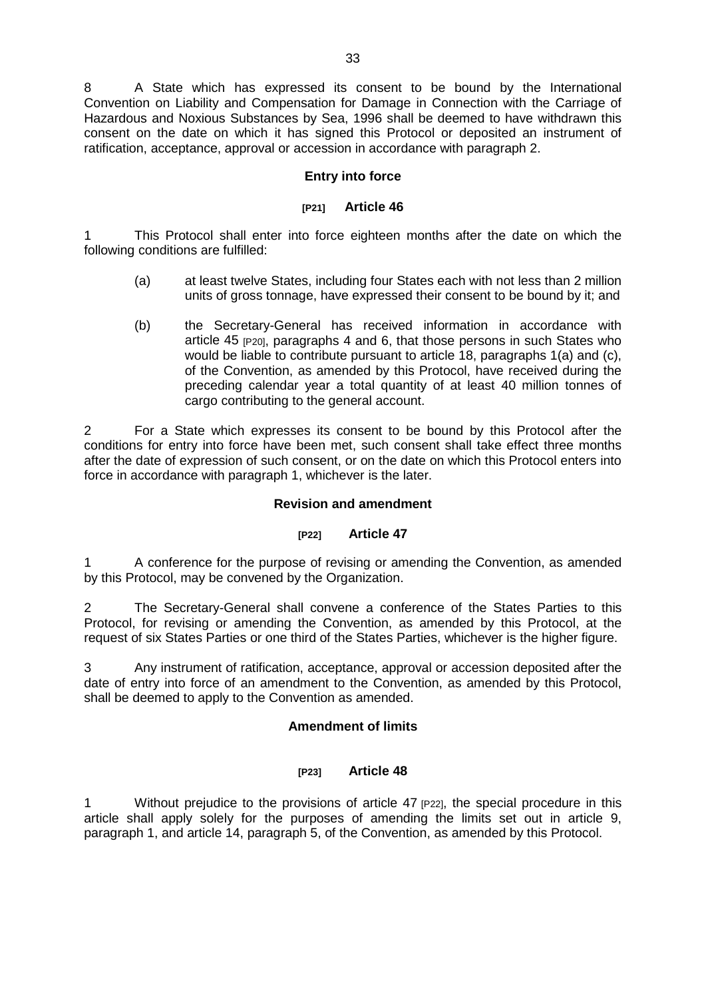8 A State which has expressed its consent to be bound by the International Convention on Liability and Compensation for Damage in Connection with the Carriage of Hazardous and Noxious Substances by Sea, 1996 shall be deemed to have withdrawn this consent on the date on which it has signed this Protocol or deposited an instrument of ratification, acceptance, approval or accession in accordance with paragraph 2.

## **Entry into force**

# **[P21] Article 46**

1 This Protocol shall enter into force eighteen months after the date on which the following conditions are fulfilled:

- (a) at least twelve States, including four States each with not less than 2 million units of gross tonnage, have expressed their consent to be bound by it; and
- (b) the Secretary-General has received information in accordance with article 45 [P20], paragraphs 4 and 6, that those persons in such States who would be liable to contribute pursuant to article 18, paragraphs 1(a) and (c), of the Convention, as amended by this Protocol, have received during the preceding calendar year a total quantity of at least 40 million tonnes of cargo contributing to the general account.

2 For a State which expresses its consent to be bound by this Protocol after the conditions for entry into force have been met, such consent shall take effect three months after the date of expression of such consent, or on the date on which this Protocol enters into force in accordance with paragraph 1, whichever is the later.

## **Revision and amendment**

### **[P22] Article 47**

1 A conference for the purpose of revising or amending the Convention, as amended by this Protocol, may be convened by the Organization.

2 The Secretary-General shall convene a conference of the States Parties to this Protocol, for revising or amending the Convention, as amended by this Protocol, at the request of six States Parties or one third of the States Parties, whichever is the higher figure.

3 Any instrument of ratification, acceptance, approval or accession deposited after the date of entry into force of an amendment to the Convention, as amended by this Protocol, shall be deemed to apply to the Convention as amended.

### **Amendment of limits**

### **[P23] Article 48**

1 Without prejudice to the provisions of article 47 [P22], the special procedure in this article shall apply solely for the purposes of amending the limits set out in article 9, paragraph 1, and article 14, paragraph 5, of the Convention, as amended by this Protocol.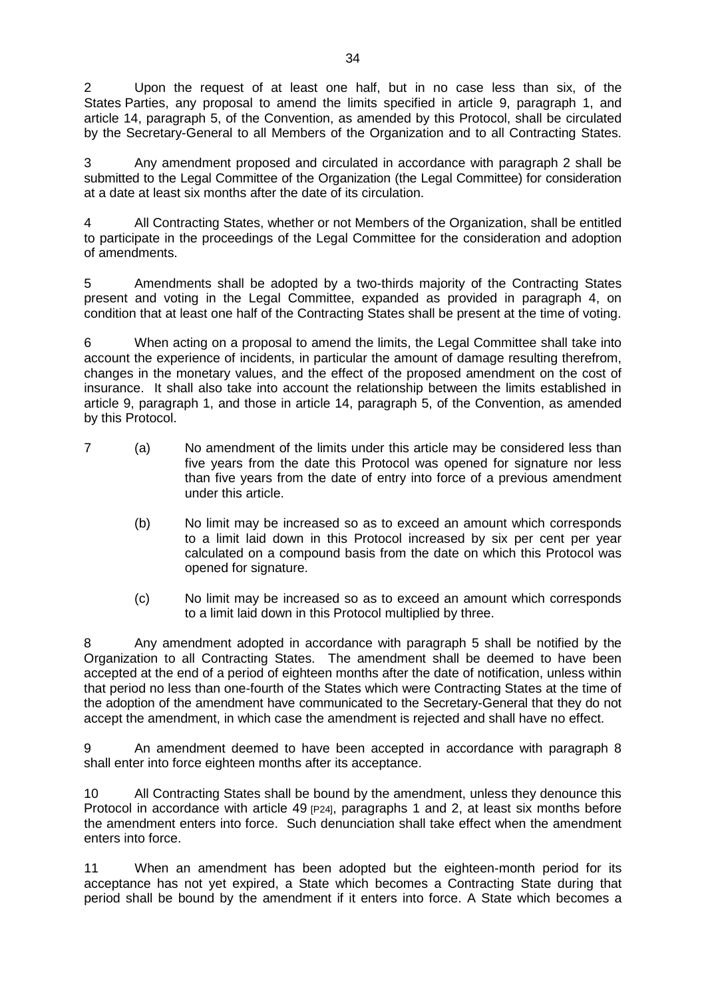2 Upon the request of at least one half, but in no case less than six, of the States Parties, any proposal to amend the limits specified in article 9, paragraph 1, and article 14, paragraph 5, of the Convention, as amended by this Protocol, shall be circulated by the Secretary-General to all Members of the Organization and to all Contracting States.

3 Any amendment proposed and circulated in accordance with paragraph 2 shall be submitted to the Legal Committee of the Organization (the Legal Committee) for consideration at a date at least six months after the date of its circulation.

4 All Contracting States, whether or not Members of the Organization, shall be entitled to participate in the proceedings of the Legal Committee for the consideration and adoption of amendments.

5 Amendments shall be adopted by a two-thirds majority of the Contracting States present and voting in the Legal Committee, expanded as provided in paragraph 4, on condition that at least one half of the Contracting States shall be present at the time of voting.

6 When acting on a proposal to amend the limits, the Legal Committee shall take into account the experience of incidents, in particular the amount of damage resulting therefrom, changes in the monetary values, and the effect of the proposed amendment on the cost of insurance. It shall also take into account the relationship between the limits established in article 9, paragraph 1, and those in article 14, paragraph 5, of the Convention, as amended by this Protocol.

- 7 (a) No amendment of the limits under this article may be considered less than five years from the date this Protocol was opened for signature nor less than five years from the date of entry into force of a previous amendment under this article.
	- (b) No limit may be increased so as to exceed an amount which corresponds to a limit laid down in this Protocol increased by six per cent per year calculated on a compound basis from the date on which this Protocol was opened for signature.
	- (c) No limit may be increased so as to exceed an amount which corresponds to a limit laid down in this Protocol multiplied by three.

8 Any amendment adopted in accordance with paragraph 5 shall be notified by the Organization to all Contracting States. The amendment shall be deemed to have been accepted at the end of a period of eighteen months after the date of notification, unless within that period no less than one-fourth of the States which were Contracting States at the time of the adoption of the amendment have communicated to the Secretary-General that they do not accept the amendment, in which case the amendment is rejected and shall have no effect.

9 An amendment deemed to have been accepted in accordance with paragraph 8 shall enter into force eighteen months after its acceptance.

10 All Contracting States shall be bound by the amendment, unless they denounce this Protocol in accordance with article 49  $[P24]$ , paragraphs 1 and 2, at least six months before the amendment enters into force. Such denunciation shall take effect when the amendment enters into force.

11 When an amendment has been adopted but the eighteen-month period for its acceptance has not yet expired, a State which becomes a Contracting State during that period shall be bound by the amendment if it enters into force. A State which becomes a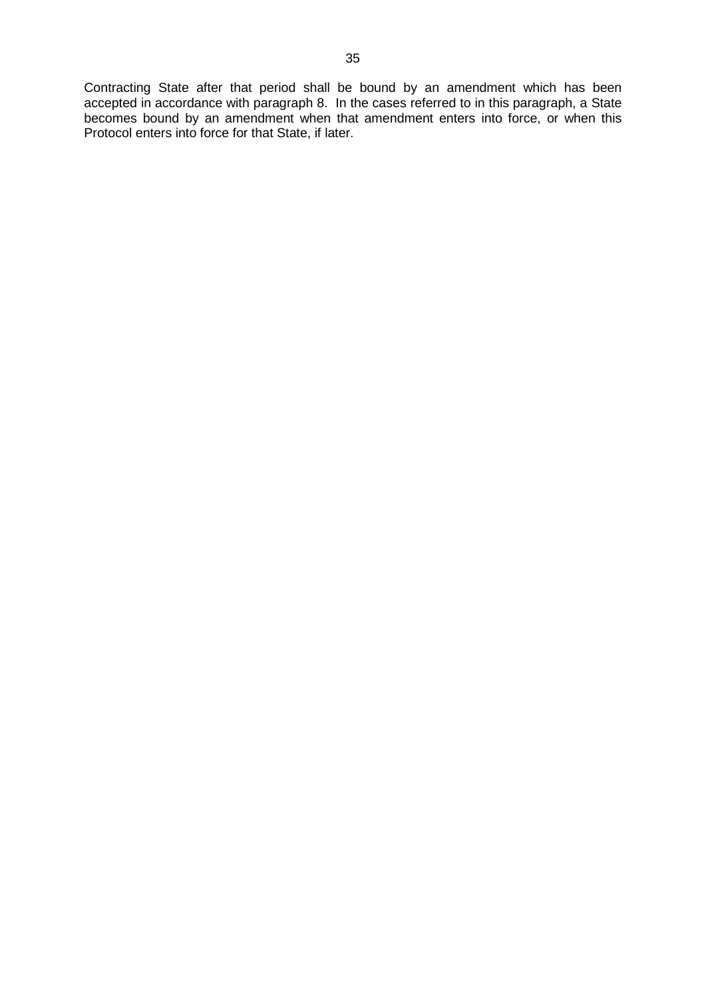Contracting State after that period shall be bound by an amendment which has been accepted in accordance with paragraph 8. In the cases referred to in this paragraph, a State becomes bound by an amendment when that amendment enters into force, or when this Protocol enters into force for that State, if later.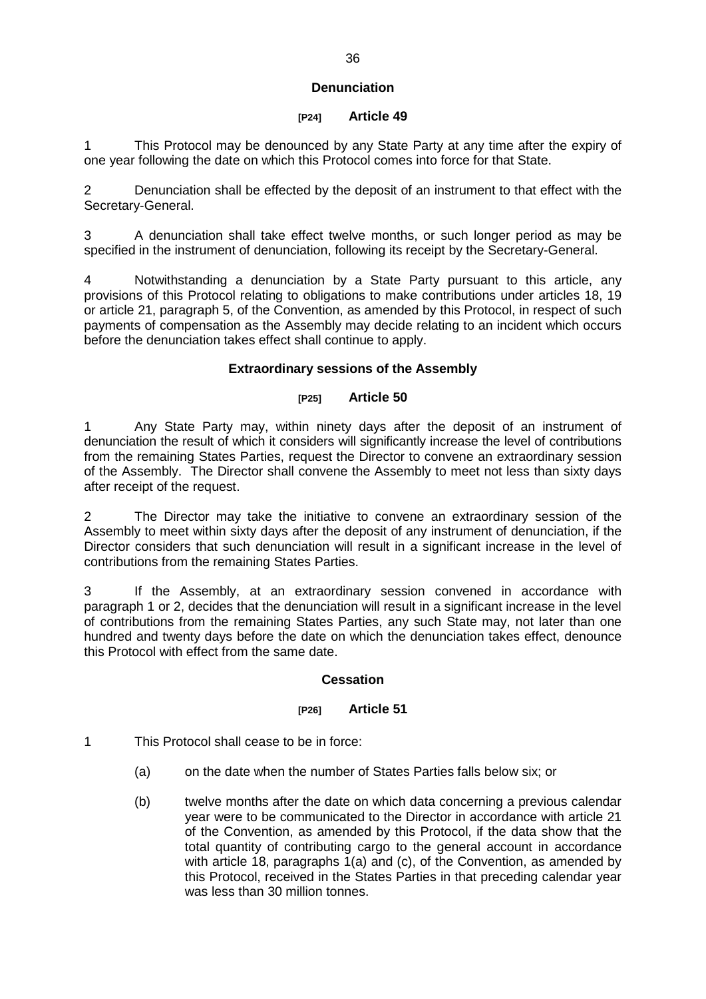### **Denunciation**

#### **[P24] Article 49**

1 This Protocol may be denounced by any State Party at any time after the expiry of one year following the date on which this Protocol comes into force for that State.

2 Denunciation shall be effected by the deposit of an instrument to that effect with the Secretary-General.

3 A denunciation shall take effect twelve months, or such longer period as may be specified in the instrument of denunciation, following its receipt by the Secretary-General.

4 Notwithstanding a denunciation by a State Party pursuant to this article, any provisions of this Protocol relating to obligations to make contributions under articles 18, 19 or article 21, paragraph 5, of the Convention, as amended by this Protocol, in respect of such payments of compensation as the Assembly may decide relating to an incident which occurs before the denunciation takes effect shall continue to apply.

### **Extraordinary sessions of the Assembly**

## **[P25] Article 50**

1 Any State Party may, within ninety days after the deposit of an instrument of denunciation the result of which it considers will significantly increase the level of contributions from the remaining States Parties, request the Director to convene an extraordinary session of the Assembly. The Director shall convene the Assembly to meet not less than sixty days after receipt of the request.

2 The Director may take the initiative to convene an extraordinary session of the Assembly to meet within sixty days after the deposit of any instrument of denunciation, if the Director considers that such denunciation will result in a significant increase in the level of contributions from the remaining States Parties.

3 If the Assembly, at an extraordinary session convened in accordance with paragraph 1 or 2, decides that the denunciation will result in a significant increase in the level of contributions from the remaining States Parties, any such State may, not later than one hundred and twenty days before the date on which the denunciation takes effect, denounce this Protocol with effect from the same date.

### **Cessation**

#### **[P26] Article 51**

1 This Protocol shall cease to be in force:

- (a) on the date when the number of States Parties falls below six; or
- (b) twelve months after the date on which data concerning a previous calendar year were to be communicated to the Director in accordance with article 21 of the Convention, as amended by this Protocol, if the data show that the total quantity of contributing cargo to the general account in accordance with article 18, paragraphs 1(a) and (c), of the Convention, as amended by this Protocol, received in the States Parties in that preceding calendar year was less than 30 million tonnes.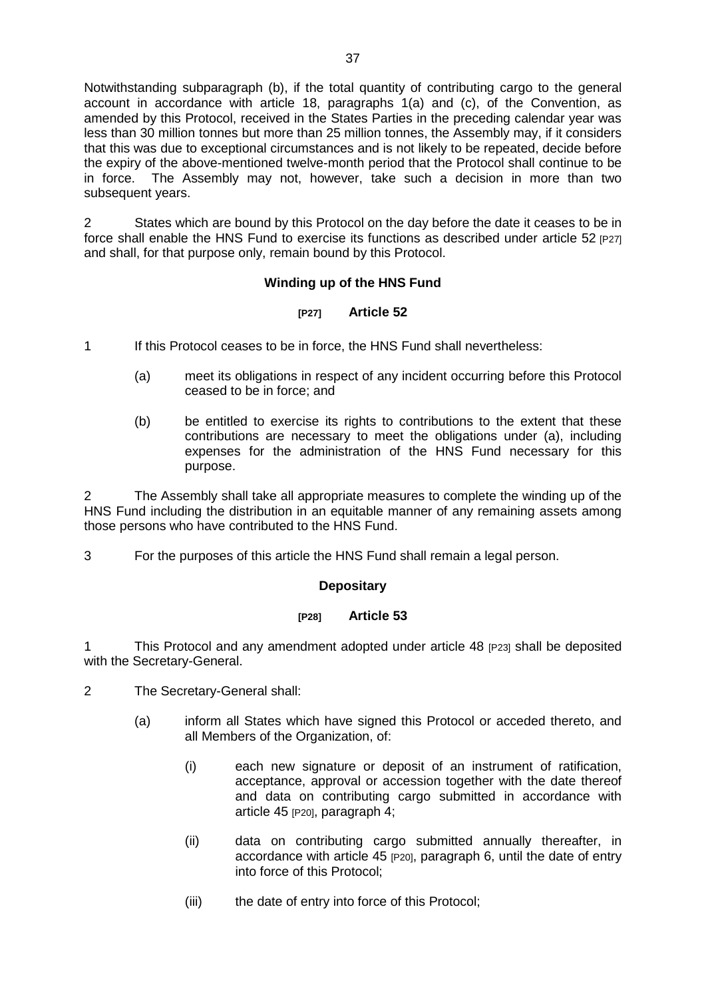Notwithstanding subparagraph (b), if the total quantity of contributing cargo to the general account in accordance with article 18, paragraphs 1(a) and (c), of the Convention, as amended by this Protocol, received in the States Parties in the preceding calendar year was less than 30 million tonnes but more than 25 million tonnes, the Assembly may, if it considers that this was due to exceptional circumstances and is not likely to be repeated, decide before the expiry of the above-mentioned twelve-month period that the Protocol shall continue to be in force. The Assembly may not, however, take such a decision in more than two subsequent years.

2 States which are bound by this Protocol on the day before the date it ceases to be in force shall enable the HNS Fund to exercise its functions as described under article 52 [P27] and shall, for that purpose only, remain bound by this Protocol.

### **Winding up of the HNS Fund**

#### **[P27] Article 52**

1 If this Protocol ceases to be in force, the HNS Fund shall nevertheless:

- (a) meet its obligations in respect of any incident occurring before this Protocol ceased to be in force; and
- (b) be entitled to exercise its rights to contributions to the extent that these contributions are necessary to meet the obligations under (a), including expenses for the administration of the HNS Fund necessary for this purpose.

2 The Assembly shall take all appropriate measures to complete the winding up of the HNS Fund including the distribution in an equitable manner of any remaining assets among those persons who have contributed to the HNS Fund.

3 For the purposes of this article the HNS Fund shall remain a legal person.

### **Depositary**

## **[P28] Article 53**

1 This Protocol and any amendment adopted under article 48 [P23] shall be deposited with the Secretary-General.

- 2 The Secretary-General shall:
	- (a) inform all States which have signed this Protocol or acceded thereto, and all Members of the Organization, of:
		- (i) each new signature or deposit of an instrument of ratification, acceptance, approval or accession together with the date thereof and data on contributing cargo submitted in accordance with article 45 <sub>[P20]</sub>, paragraph 4;
		- (ii) data on contributing cargo submitted annually thereafter, in accordance with article 45 [P20], paragraph 6, until the date of entry into force of this Protocol;
		- (iii) the date of entry into force of this Protocol;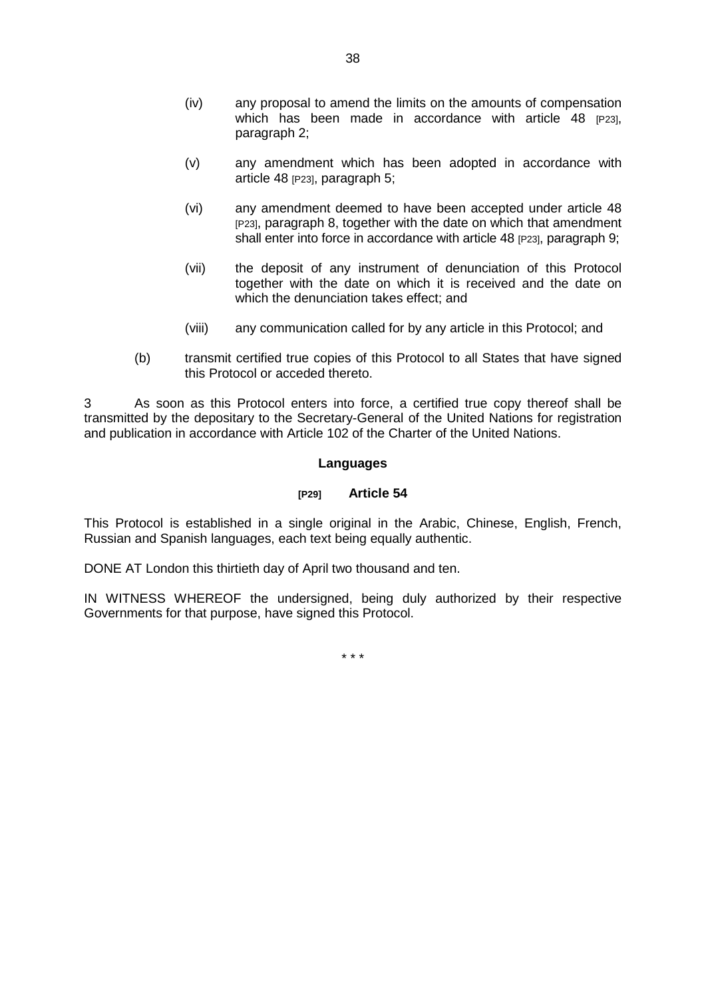- (iv) any proposal to amend the limits on the amounts of compensation which has been made in accordance with article  $48$   $p23$ , paragraph 2;
- (v) any amendment which has been adopted in accordance with article 48 (P23), paragraph 5;
- (vi) any amendment deemed to have been accepted under article 48 [P23], paragraph 8, together with the date on which that amendment shall enter into force in accordance with article 48 [P23], paragraph 9;
- (vii) the deposit of any instrument of denunciation of this Protocol together with the date on which it is received and the date on which the denunciation takes effect; and
- (viii) any communication called for by any article in this Protocol; and
- (b) transmit certified true copies of this Protocol to all States that have signed this Protocol or acceded thereto.

3 As soon as this Protocol enters into force, a certified true copy thereof shall be transmitted by the depositary to the Secretary-General of the United Nations for registration and publication in accordance with Article 102 of the Charter of the United Nations.

#### **Languages**

#### **[P29] Article 54**

This Protocol is established in a single original in the Arabic, Chinese, English, French, Russian and Spanish languages, each text being equally authentic.

DONE AT London this thirtieth day of April two thousand and ten.

IN WITNESS WHEREOF the undersigned, being duly authorized by their respective Governments for that purpose, have signed this Protocol.

\* \* \*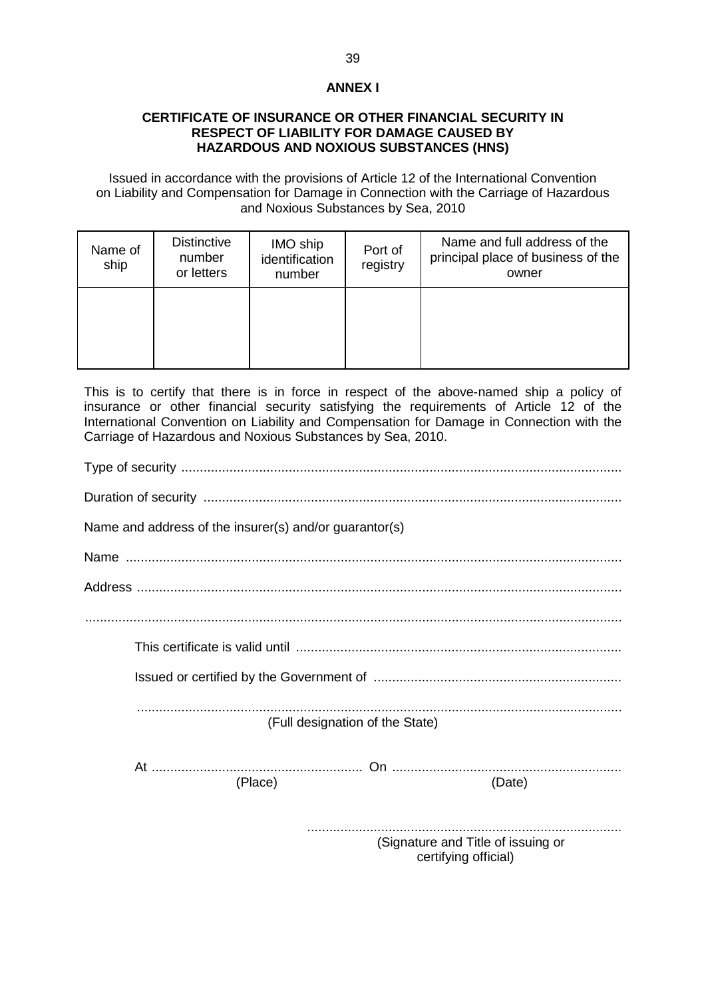### **ANNEX I**

#### **CERTIFICATE OF INSURANCE OR OTHER FINANCIAL SECURITY IN RESPECT OF LIABILITY FOR DAMAGE CAUSED BY HAZARDOUS AND NOXIOUS SUBSTANCES (HNS)**

Issued in accordance with the provisions of Article 12 of the International Convention on Liability and Compensation for Damage in Connection with the Carriage of Hazardous and Noxious Substances by Sea, 2010

| Name of<br>ship | <b>Distinctive</b><br>number<br>or letters | IMO ship<br>identification<br>number | Port of<br>registry | Name and full address of the<br>principal place of business of the<br>owner |
|-----------------|--------------------------------------------|--------------------------------------|---------------------|-----------------------------------------------------------------------------|
|                 |                                            |                                      |                     |                                                                             |

This is to certify that there is in force in respect of the above-named ship a policy of insurance or other financial security satisfying the requirements of Article 12 of the International Convention on Liability and Compensation for Damage in Connection with the Carriage of Hazardous and Noxious Substances by Sea, 2010.

| Name and address of the insurer(s) and/or guarantor(s)     |
|------------------------------------------------------------|
|                                                            |
|                                                            |
|                                                            |
|                                                            |
|                                                            |
| (Full designation of the State)                            |
|                                                            |
| (Place)<br>(Date)                                          |
| (Signature and Title of issuing or<br>certifying official) |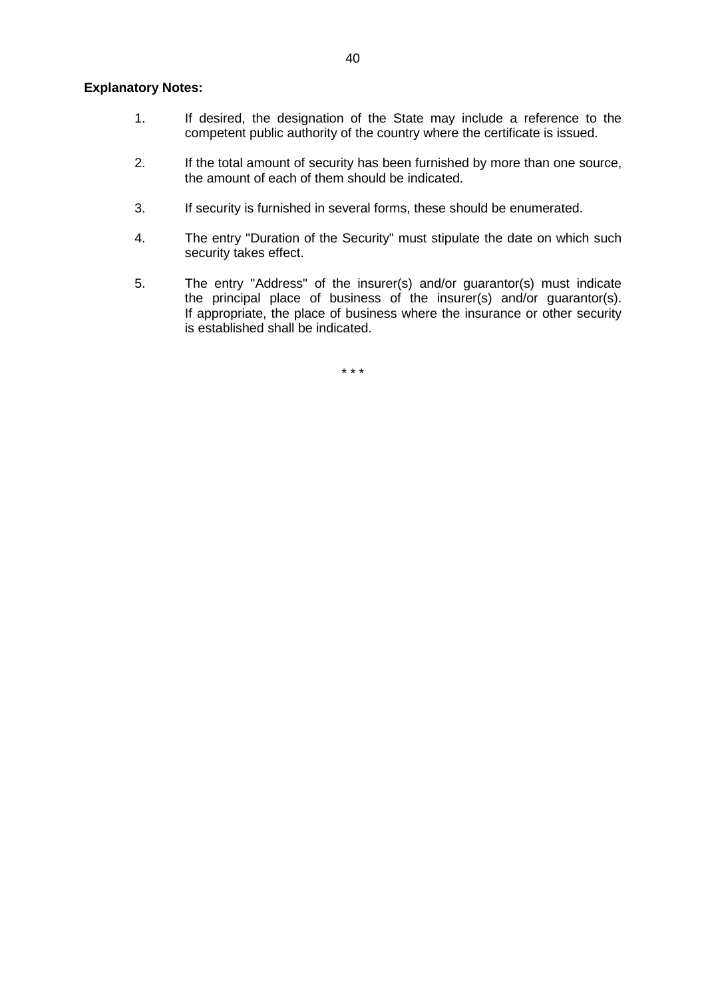#### **Explanatory Notes:**

- 1. If desired, the designation of the State may include a reference to the competent public authority of the country where the certificate is issued.
- 2. If the total amount of security has been furnished by more than one source, the amount of each of them should be indicated.
- 3. If security is furnished in several forms, these should be enumerated.
- 4. The entry "Duration of the Security" must stipulate the date on which such security takes effect.
- 5. The entry "Address" of the insurer(s) and/or guarantor(s) must indicate the principal place of business of the insurer(s) and/or guarantor(s). If appropriate, the place of business where the insurance or other security is established shall be indicated.

\* \* \*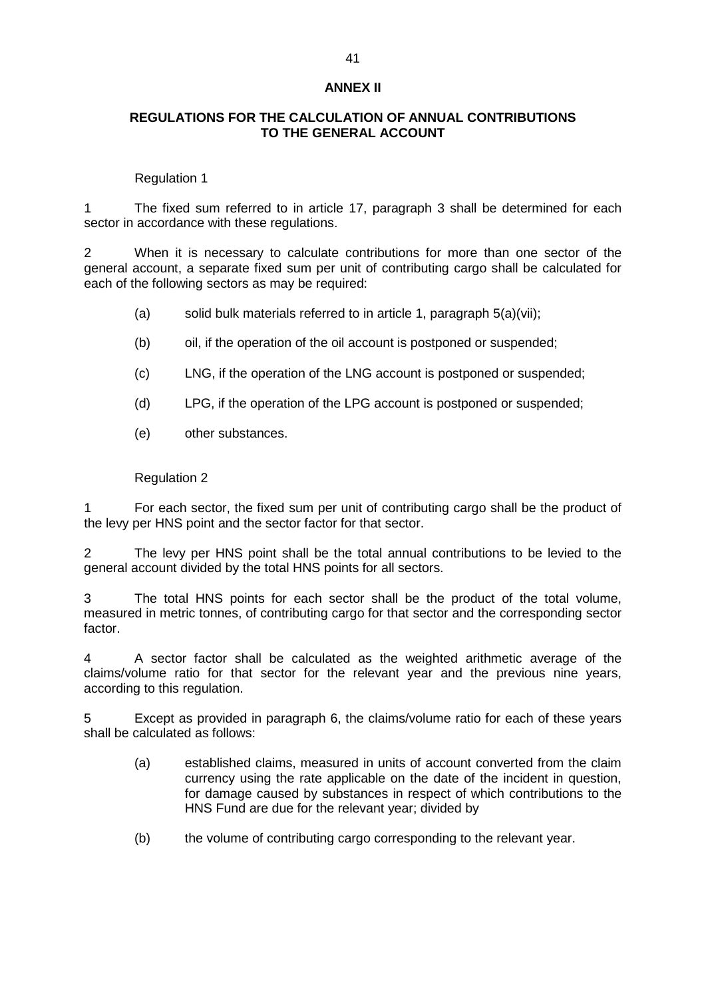#### **ANNEX II**

#### **REGULATIONS FOR THE CALCULATION OF ANNUAL CONTRIBUTIONS TO THE GENERAL ACCOUNT**

#### Regulation 1

1 The fixed sum referred to in article 17, paragraph 3 shall be determined for each sector in accordance with these regulations.

2 When it is necessary to calculate contributions for more than one sector of the general account, a separate fixed sum per unit of contributing cargo shall be calculated for each of the following sectors as may be required:

- (a) solid bulk materials referred to in article 1, paragraph  $5(a)(vii)$ ;
- (b) oil, if the operation of the oil account is postponed or suspended;
- (c) LNG, if the operation of the LNG account is postponed or suspended;
- (d) LPG, if the operation of the LPG account is postponed or suspended;
- (e) other substances.

#### Regulation 2

1 For each sector, the fixed sum per unit of contributing cargo shall be the product of the levy per HNS point and the sector factor for that sector.

2 The levy per HNS point shall be the total annual contributions to be levied to the general account divided by the total HNS points for all sectors.

3 The total HNS points for each sector shall be the product of the total volume, measured in metric tonnes, of contributing cargo for that sector and the corresponding sector factor.

4 A sector factor shall be calculated as the weighted arithmetic average of the claims/volume ratio for that sector for the relevant year and the previous nine years, according to this regulation.

5 Except as provided in paragraph 6, the claims/volume ratio for each of these years shall be calculated as follows:

- (a) established claims, measured in units of account converted from the claim currency using the rate applicable on the date of the incident in question, for damage caused by substances in respect of which contributions to the HNS Fund are due for the relevant year; divided by
- (b) the volume of contributing cargo corresponding to the relevant year.